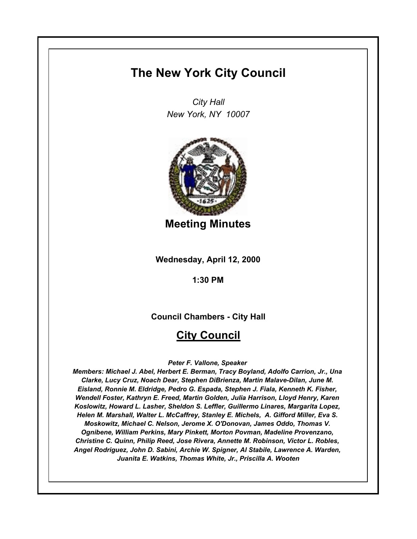# **The New York City Council**

*City Hall New York, NY 10007*



**Meeting Minutes**

**Wednesday, April 12, 2000**

**1:30 PM**

**Council Chambers - City Hall**

# **City Council**

*Peter F. Vallone, Speaker* 

*Members: Michael J. Abel, Herbert E. Berman, Tracy Boyland, Adolfo Carrion, Jr., Una Clarke, Lucy Cruz, Noach Dear, Stephen DiBrienza, Martin Malave-Dilan, June M. Eisland, Ronnie M. Eldridge, Pedro G. Espada, Stephen J. Fiala, Kenneth K. Fisher, Wendell Foster, Kathryn E. Freed, Martin Golden, Julia Harrison, Lloyd Henry, Karen Koslowitz, Howard L. Lasher, Sheldon S. Leffler, Guillermo Linares, Margarita Lopez, Helen M. Marshall, Walter L. McCaffrey, Stanley E. Michels, A. Gifford Miller, Eva S. Moskowitz, Michael C. Nelson, Jerome X. O'Donovan, James Oddo, Thomas V. Ognibene, William Perkins, Mary Pinkett, Morton Povman, Madeline Provenzano, Christine C. Quinn, Philip Reed, Jose Rivera, Annette M. Robinson, Victor L. Robles, Angel Rodriguez, John D. Sabini, Archie W. Spigner, Al Stabile, Lawrence A. Warden, Juanita E. Watkins, Thomas White, Jr., Priscilla A. Wooten*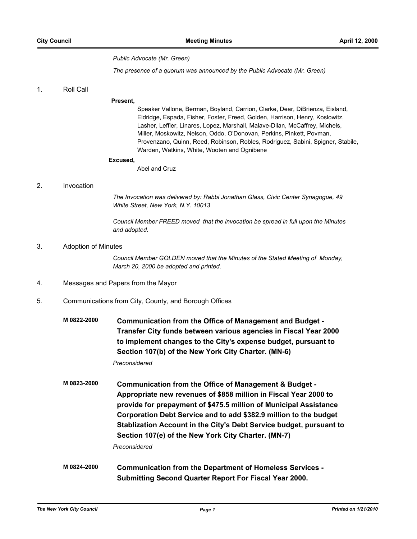#### *Public Advocate (Mr. Green)*

*The presence of a quorum was announced by the Public Advocate (Mr. Green)*

## 1. Roll Call

#### **Present,**

Speaker Vallone, Berman, Boyland, Carrion, Clarke, Dear, DiBrienza, Eisland, Eldridge, Espada, Fisher, Foster, Freed, Golden, Harrison, Henry, Koslowitz, Lasher, Leffler, Linares, Lopez, Marshall, Malave-Dilan, McCaffrey, Michels, Miller, Moskowitz, Nelson, Oddo, O'Donovan, Perkins, Pinkett, Povman, Provenzano, Quinn, Reed, Robinson, Robles, Rodriguez, Sabini, Spigner, Stabile, Warden, Watkins, White, Wooten and Ognibene

#### **Excused,**

Abel and Cruz

#### 2. Invocation

*The Invocation was delivered by: Rabbi Jonathan Glass, Civic Center Synagogue, 49 White Street, New York, N.Y. 10013*

*Council Member FREED moved that the invocation be spread in full upon the Minutes and adopted.*

#### 3. Adoption of Minutes

*Council Member GOLDEN moved that the Minutes of the Stated Meeting of Monday, March 20, 2000 be adopted and printed.*

- 4. Messages and Papers from the Mayor
- 5. Communications from City, County, and Borough Offices
	- **M 0822-2000 Communication from the Office of Management and Budget Transfer City funds between various agencies in Fiscal Year 2000 to implement changes to the City's expense budget, pursuant to Section 107(b) of the New York City Charter. (MN-6)** *Preconsidered*

**M 0823-2000 Communication from the Office of Management & Budget - Appropriate new revenues of \$858 million in Fiscal Year 2000 to provide for prepayment of \$475.5 million of Municipal Assistance Corporation Debt Service and to add \$382.9 million to the budget Stablization Account in the City's Debt Service budget, pursuant to Section 107(e) of the New York City Charter. (MN-7)**

*Preconsidered*

**M 0824-2000 Communication from the Department of Homeless Services - Submitting Second Quarter Report For Fiscal Year 2000.**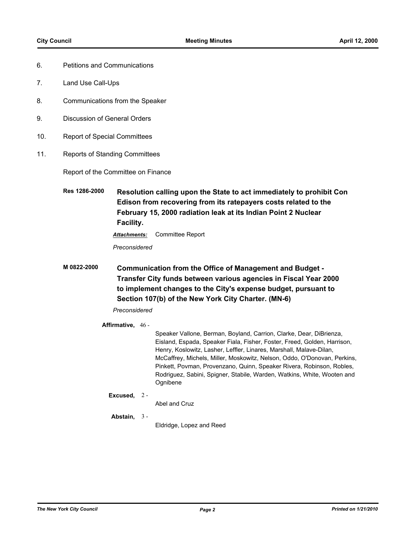- 6. Petitions and Communications
- 7. Land Use Call-Ups
- 8. Communications from the Speaker
- 9. Discussion of General Orders
- 10. Report of Special Committees
- 11. Reports of Standing Committees

Report of the Committee on Finance

**Res 1286-2000 Resolution calling upon the State to act immediately to prohibit Con Edison from recovering from its ratepayers costs related to the February 15, 2000 radiation leak at its Indian Point 2 Nuclear Facility.**

*Attachments:* Committee Report

*Preconsidered*

**M 0822-2000 Communication from the Office of Management and Budget - Transfer City funds between various agencies in Fiscal Year 2000 to implement changes to the City's expense budget, pursuant to Section 107(b) of the New York City Charter. (MN-6)**

## *Preconsidered*

#### **Affirmative,** 46 -

Speaker Vallone, Berman, Boyland, Carrion, Clarke, Dear, DiBrienza, Eisland, Espada, Speaker Fiala, Fisher, Foster, Freed, Golden, Harrison, Henry, Koslowitz, Lasher, Leffler, Linares, Marshall, Malave-Dilan, McCaffrey, Michels, Miller, Moskowitz, Nelson, Oddo, O'Donovan, Perkins, Pinkett, Povman, Provenzano, Quinn, Speaker Rivera, Robinson, Robles, Rodriguez, Sabini, Spigner, Stabile, Warden, Watkins, White, Wooten and Ognibene

#### **Excused,** 2 -

Abel and Cruz

#### **Abstain,** 3 -

Eldridge, Lopez and Reed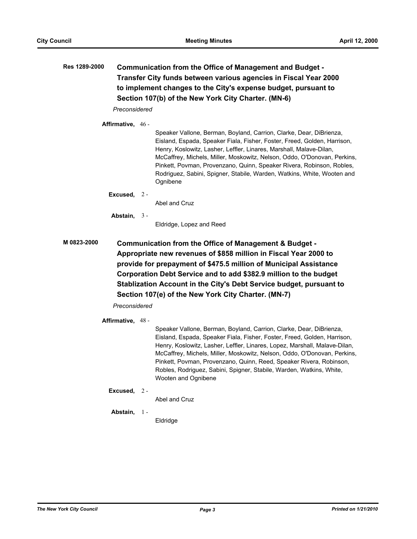# **Res 1289-2000 Communication from the Office of Management and Budget - Transfer City funds between various agencies in Fiscal Year 2000 to implement changes to the City's expense budget, pursuant to Section 107(b) of the New York City Charter. (MN-6)**

*Preconsidered*

**Affirmative,** 46 -

Speaker Vallone, Berman, Boyland, Carrion, Clarke, Dear, DiBrienza, Eisland, Espada, Speaker Fiala, Fisher, Foster, Freed, Golden, Harrison, Henry, Koslowitz, Lasher, Leffler, Linares, Marshall, Malave-Dilan, McCaffrey, Michels, Miller, Moskowitz, Nelson, Oddo, O'Donovan, Perkins, Pinkett, Povman, Provenzano, Quinn, Speaker Rivera, Robinson, Robles, Rodriguez, Sabini, Spigner, Stabile, Warden, Watkins, White, Wooten and Ognibene

**Excused,** 2 -

Abel and Cruz

**Abstain,** 3 -

Eldridge, Lopez and Reed

**M 0823-2000 Communication from the Office of Management & Budget - Appropriate new revenues of \$858 million in Fiscal Year 2000 to provide for prepayment of \$475.5 million of Municipal Assistance Corporation Debt Service and to add \$382.9 million to the budget Stablization Account in the City's Debt Service budget, pursuant to Section 107(e) of the New York City Charter. (MN-7)**

*Preconsidered*

#### **Affirmative,** 48 -

Speaker Vallone, Berman, Boyland, Carrion, Clarke, Dear, DiBrienza, Eisland, Espada, Speaker Fiala, Fisher, Foster, Freed, Golden, Harrison, Henry, Koslowitz, Lasher, Leffler, Linares, Lopez, Marshall, Malave-Dilan, McCaffrey, Michels, Miller, Moskowitz, Nelson, Oddo, O'Donovan, Perkins, Pinkett, Povman, Provenzano, Quinn, Reed, Speaker Rivera, Robinson, Robles, Rodriguez, Sabini, Spigner, Stabile, Warden, Watkins, White, Wooten and Ognibene

#### **Excused,** 2 -

Abel and Cruz

#### **Abstain,** 1 -

**Eldridge**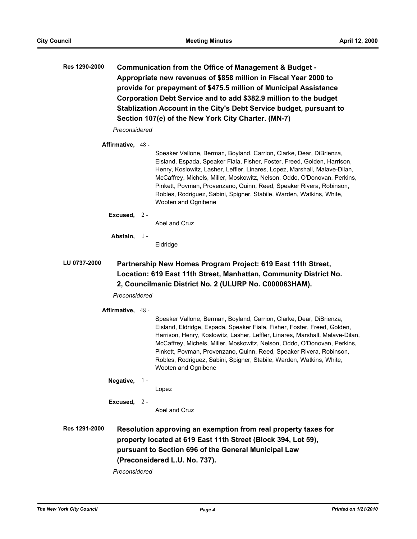**Res 1290-2000 Communication from the Office of Management & Budget - Appropriate new revenues of \$858 million in Fiscal Year 2000 to provide for prepayment of \$475.5 million of Municipal Assistance Corporation Debt Service and to add \$382.9 million to the budget Stablization Account in the City's Debt Service budget, pursuant to Section 107(e) of the New York City Charter. (MN-7)**

*Preconsidered*

### **Affirmative,** 48 -

Speaker Vallone, Berman, Boyland, Carrion, Clarke, Dear, DiBrienza, Eisland, Espada, Speaker Fiala, Fisher, Foster, Freed, Golden, Harrison, Henry, Koslowitz, Lasher, Leffler, Linares, Lopez, Marshall, Malave-Dilan, McCaffrey, Michels, Miller, Moskowitz, Nelson, Oddo, O'Donovan, Perkins, Pinkett, Povman, Provenzano, Quinn, Reed, Speaker Rivera, Robinson, Robles, Rodriguez, Sabini, Spigner, Stabile, Warden, Watkins, White, Wooten and Ognibene

**Excused,** 2 -

Abel and Cruz

**Abstain,** 1 -

Eldridge

# **LU 0737-2000 Partnership New Homes Program Project: 619 East 11th Street, Location: 619 East 11th Street, Manhattan, Community District No. 2, Councilmanic District No. 2 (ULURP No. C000063HAM).**

*Preconsidered*

**Affirmative,** 48 -

Speaker Vallone, Berman, Boyland, Carrion, Clarke, Dear, DiBrienza, Eisland, Eldridge, Espada, Speaker Fiala, Fisher, Foster, Freed, Golden, Harrison, Henry, Koslowitz, Lasher, Leffler, Linares, Marshall, Malave-Dilan, McCaffrey, Michels, Miller, Moskowitz, Nelson, Oddo, O'Donovan, Perkins, Pinkett, Povman, Provenzano, Quinn, Reed, Speaker Rivera, Robinson, Robles, Rodriguez, Sabini, Spigner, Stabile, Warden, Watkins, White, Wooten and Ognibene

**Negative,** 1 -

Lopez

**Excused,** 2 -

Abel and Cruz

**Res 1291-2000 Resolution approving an exemption from real property taxes for property located at 619 East 11th Street (Block 394, Lot 59), pursuant to Section 696 of the General Municipal Law (Preconsidered L.U. No. 737).**

*Preconsidered*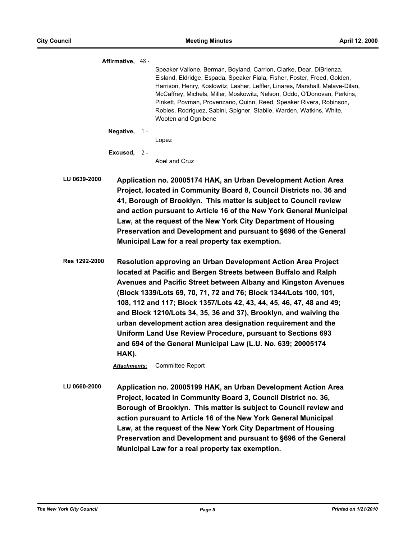**Affirmative,** 48 - Speaker Vallone, Berman, Boyland, Carrion, Clarke, Dear, DiBrienza, Eisland, Eldridge, Espada, Speaker Fiala, Fisher, Foster, Freed, Golden, Harrison, Henry, Koslowitz, Lasher, Leffler, Linares, Marshall, Malave-Dilan, McCaffrey, Michels, Miller, Moskowitz, Nelson, Oddo, O'Donovan, Perkins, Pinkett, Povman, Provenzano, Quinn, Reed, Speaker Rivera, Robinson, Robles, Rodriguez, Sabini, Spigner, Stabile, Warden, Watkins, White, Wooten and Ognibene **Negative,** 1 - Lopez **Excused,** 2 - Abel and Cruz **LU 0639-2000 Application no. 20005174 HAK, an Urban Development Action Area Project, located in Community Board 8, Council Districts no. 36 and 41, Borough of Brooklyn. This matter is subject to Council review and action pursuant to Article 16 of the New York General Municipal Law, at the request of the New York City Department of Housing Preservation and Development and pursuant to §696 of the General Municipal Law for a real property tax exemption. Res 1292-2000 Resolution approving an Urban Development Action Area Project located at Pacific and Bergen Streets between Buffalo and Ralph Avenues and Pacific Street between Albany and Kingston Avenues (Block 1339/Lots 69, 70, 71, 72 and 76; Block 1344/Lots 100, 101, 108, 112 and 117; Block 1357/Lots 42, 43, 44, 45, 46, 47, 48 and 49; and Block 1210/Lots 34, 35, 36 and 37), Brooklyn, and waiving the urban development action area designation requirement and the Uniform Land Use Review Procedure, pursuant to Sections 693 and 694 of the General Municipal Law (L.U. No. 639; 20005174 HAK).** *Attachments:* Committee Report **LU 0660-2000 Application no. 20005199 HAK, an Urban Development Action Area Project, located in Community Board 3, Council District no. 36, Borough of Brooklyn. This matter is subject to Council review and action pursuant to Article 16 of the New York General Municipal Law, at the request of the New York City Department of Housing Preservation and Development and pursuant to §696 of the General Municipal Law for a real property tax exemption.**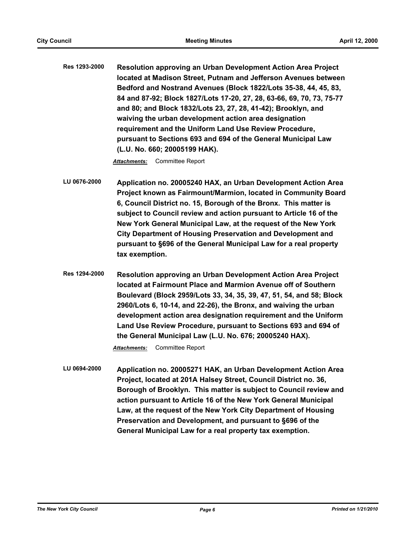**Res 1293-2000 Resolution approving an Urban Development Action Area Project located at Madison Street, Putnam and Jefferson Avenues between Bedford and Nostrand Avenues (Block 1822/Lots 35-38, 44, 45, 83, 84 and 87-92; Block 1827/Lots 17-20, 27, 28, 63-66, 69, 70, 73, 75-77 and 80; and Block 1832/Lots 23, 27, 28, 41-42); Brooklyn, and waiving the urban development action area designation requirement and the Uniform Land Use Review Procedure, pursuant to Sections 693 and 694 of the General Municipal Law (L.U. No. 660; 20005199 HAK).**

*Attachments:* Committee Report

- **LU 0676-2000 Application no. 20005240 HAX, an Urban Development Action Area Project known as Fairmount/Marmion, located in Community Board 6, Council District no. 15, Borough of the Bronx. This matter is subject to Council review and action pursuant to Article 16 of the New York General Municipal Law, at the request of the New York City Department of Housing Preservation and Development and pursuant to §696 of the General Municipal Law for a real property tax exemption.**
- **Res 1294-2000 Resolution approving an Urban Development Action Area Project located at Fairmount Place and Marmion Avenue off of Southern Boulevard (Block 2959/Lots 33, 34, 35, 39, 47, 51, 54, and 58; Block 2960/Lots 6, 10-14, and 22-26), the Bronx, and waiving the urban development action area designation requirement and the Uniform Land Use Review Procedure, pursuant to Sections 693 and 694 of the General Municipal Law (L.U. No. 676; 20005240 HAX).**

*Attachments:* Committee Report

**LU 0694-2000 Application no. 20005271 HAK, an Urban Development Action Area Project, located at 201A Halsey Street, Council District no. 36, Borough of Brooklyn. This matter is subject to Council review and action pursuant to Article 16 of the New York General Municipal Law, at the request of the New York City Department of Housing Preservation and Development, and pursuant to §696 of the General Municipal Law for a real property tax exemption.**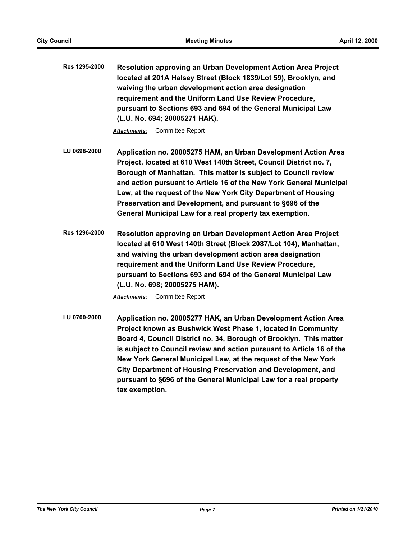**Res 1295-2000 Resolution approving an Urban Development Action Area Project located at 201A Halsey Street (Block 1839/Lot 59), Brooklyn, and waiving the urban development action area designation requirement and the Uniform Land Use Review Procedure, pursuant to Sections 693 and 694 of the General Municipal Law (L.U. No. 694; 20005271 HAK).**

*Attachments:* Committee Report

- **LU 0698-2000 Application no. 20005275 HAM, an Urban Development Action Area Project, located at 610 West 140th Street, Council District no. 7, Borough of Manhattan. This matter is subject to Council review and action pursuant to Article 16 of the New York General Municipal Law, at the request of the New York City Department of Housing Preservation and Development, and pursuant to §696 of the General Municipal Law for a real property tax exemption.**
- **Res 1296-2000 Resolution approving an Urban Development Action Area Project located at 610 West 140th Street (Block 2087/Lot 104), Manhattan, and waiving the urban development action area designation requirement and the Uniform Land Use Review Procedure, pursuant to Sections 693 and 694 of the General Municipal Law (L.U. No. 698; 20005275 HAM).**

*Attachments:* Committee Report

**LU 0700-2000 Application no. 20005277 HAK, an Urban Development Action Area Project known as Bushwick West Phase 1, located in Community Board 4, Council District no. 34, Borough of Brooklyn. This matter is subject to Council review and action pursuant to Article 16 of the New York General Municipal Law, at the request of the New York City Department of Housing Preservation and Development, and pursuant to §696 of the General Municipal Law for a real property tax exemption.**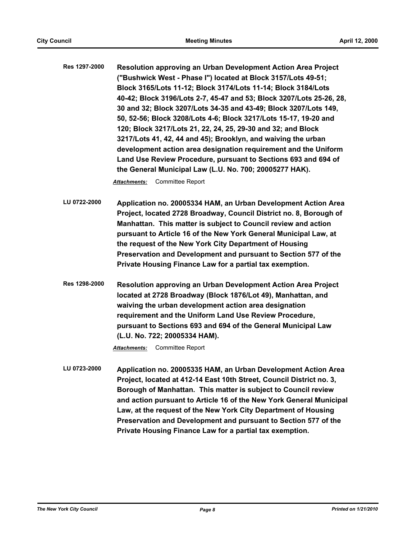**Res 1297-2000 Resolution approving an Urban Development Action Area Project ("Bushwick West - Phase I") located at Block 3157/Lots 49-51; Block 3165/Lots 11-12; Block 3174/Lots 11-14; Block 3184/Lots 40-42; Block 3196/Lots 2-7, 45-47 and 53; Block 3207/Lots 25-26, 28, 30 and 32; Block 3207/Lots 34-35 and 43-49; Block 3207/Lots 149, 50, 52-56; Block 3208/Lots 4-6; Block 3217/Lots 15-17, 19-20 and 120; Block 3217/Lots 21, 22, 24, 25, 29-30 and 32; and Block 3217/Lots 41, 42, 44 and 45); Brooklyn, and waiving the urban development action area designation requirement and the Uniform Land Use Review Procedure, pursuant to Sections 693 and 694 of the General Municipal Law (L.U. No. 700; 20005277 HAK).**

*Attachments:* Committee Report

**LU 0722-2000 Application no. 20005334 HAM, an Urban Development Action Area Project, located 2728 Broadway, Council District no. 8, Borough of Manhattan. This matter is subject to Council review and action pursuant to Article 16 of the New York General Municipal Law, at the request of the New York City Department of Housing Preservation and Development and pursuant to Section 577 of the Private Housing Finance Law for a partial tax exemption.**

**Res 1298-2000 Resolution approving an Urban Development Action Area Project located at 2728 Broadway (Block 1876/Lot 49), Manhattan, and waiving the urban development action area designation requirement and the Uniform Land Use Review Procedure, pursuant to Sections 693 and 694 of the General Municipal Law (L.U. No. 722; 20005334 HAM).**

*Attachments:* Committee Report

**LU 0723-2000 Application no. 20005335 HAM, an Urban Development Action Area Project, located at 412-14 East 10th Street, Council District no. 3, Borough of Manhattan. This matter is subject to Council review and action pursuant to Article 16 of the New York General Municipal Law, at the request of the New York City Department of Housing Preservation and Development and pursuant to Section 577 of the Private Housing Finance Law for a partial tax exemption.**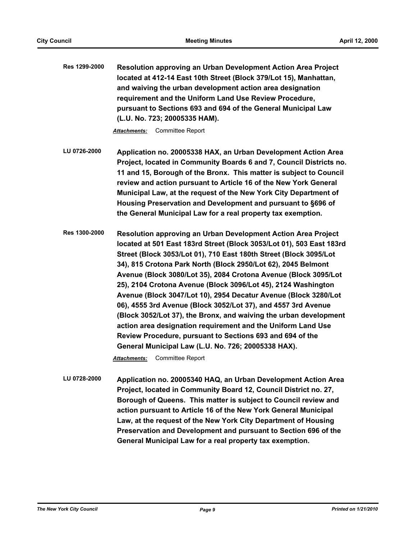**Res 1299-2000 Resolution approving an Urban Development Action Area Project located at 412-14 East 10th Street (Block 379/Lot 15), Manhattan, and waiving the urban development action area designation requirement and the Uniform Land Use Review Procedure, pursuant to Sections 693 and 694 of the General Municipal Law (L.U. No. 723; 20005335 HAM).**

*Attachments:* Committee Report

**LU 0726-2000 Application no. 20005338 HAX, an Urban Development Action Area Project, located in Community Boards 6 and 7, Council Districts no. 11 and 15, Borough of the Bronx. This matter is subject to Council review and action pursuant to Article 16 of the New York General Municipal Law, at the request of the New York City Department of Housing Preservation and Development and pursuant to §696 of the General Municipal Law for a real property tax exemption.**

**Res 1300-2000 Resolution approving an Urban Development Action Area Project located at 501 East 183rd Street (Block 3053/Lot 01), 503 East 183rd Street (Block 3053/Lot 01), 710 East 180th Street (Block 3095/Lot 34), 815 Crotona Park North (Block 2950/Lot 62), 2045 Belmont Avenue (Block 3080/Lot 35), 2084 Crotona Avenue (Block 3095/Lot 25), 2104 Crotona Avenue (Block 3096/Lot 45), 2124 Washington Avenue (Block 3047/Lot 10), 2954 Decatur Avenue (Block 3280/Lot 06), 4555 3rd Avenue (Block 3052/Lot 37), and 4557 3rd Avenue (Block 3052/Lot 37), the Bronx, and waiving the urban development action area designation requirement and the Uniform Land Use Review Procedure, pursuant to Sections 693 and 694 of the General Municipal Law (L.U. No. 726; 20005338 HAX).**

*Attachments:* Committee Report

**LU 0728-2000 Application no. 20005340 HAQ, an Urban Development Action Area Project, located in Community Board 12, Council District no. 27, Borough of Queens. This matter is subject to Council review and action pursuant to Article 16 of the New York General Municipal Law, at the request of the New York City Department of Housing Preservation and Development and pursuant to Section 696 of the General Municipal Law for a real property tax exemption.**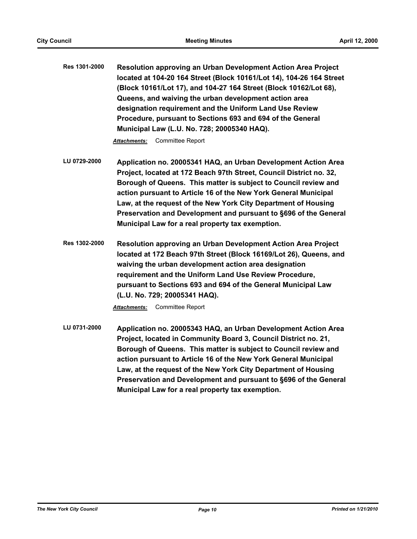**Res 1301-2000 Resolution approving an Urban Development Action Area Project located at 104-20 164 Street (Block 10161/Lot 14), 104-26 164 Street (Block 10161/Lot 17), and 104-27 164 Street (Block 10162/Lot 68), Queens, and waiving the urban development action area designation requirement and the Uniform Land Use Review Procedure, pursuant to Sections 693 and 694 of the General Municipal Law (L.U. No. 728; 20005340 HAQ).**

*Attachments:* Committee Report

- **LU 0729-2000 Application no. 20005341 HAQ, an Urban Development Action Area Project, located at 172 Beach 97th Street, Council District no. 32, Borough of Queens. This matter is subject to Council review and action pursuant to Article 16 of the New York General Municipal Law, at the request of the New York City Department of Housing Preservation and Development and pursuant to §696 of the General Municipal Law for a real property tax exemption.**
- **Res 1302-2000 Resolution approving an Urban Development Action Area Project located at 172 Beach 97th Street (Block 16169/Lot 26), Queens, and waiving the urban development action area designation requirement and the Uniform Land Use Review Procedure, pursuant to Sections 693 and 694 of the General Municipal Law (L.U. No. 729; 20005341 HAQ).**

*Attachments:* Committee Report

**LU 0731-2000 Application no. 20005343 HAQ, an Urban Development Action Area Project, located in Community Board 3, Council District no. 21, Borough of Queens. This matter is subject to Council review and action pursuant to Article 16 of the New York General Municipal Law, at the request of the New York City Department of Housing Preservation and Development and pursuant to §696 of the General Municipal Law for a real property tax exemption.**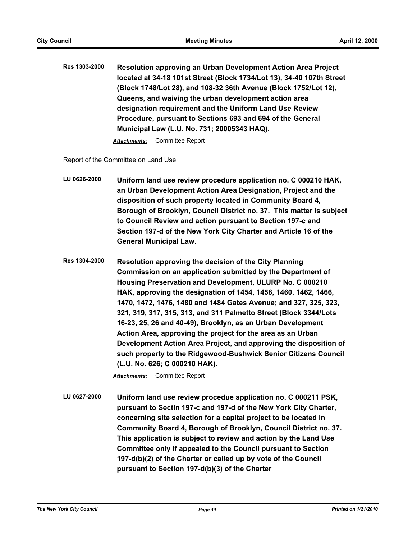**Res 1303-2000 Resolution approving an Urban Development Action Area Project located at 34-18 101st Street (Block 1734/Lot 13), 34-40 107th Street (Block 1748/Lot 28), and 108-32 36th Avenue (Block 1752/Lot 12), Queens, and waiving the urban development action area designation requirement and the Uniform Land Use Review Procedure, pursuant to Sections 693 and 694 of the General Municipal Law (L.U. No. 731; 20005343 HAQ).**

*Attachments:* Committee Report

Report of the Committee on Land Use

**LU 0626-2000 Uniform land use review procedure application no. C 000210 HAK, an Urban Development Action Area Designation, Project and the disposition of such property located in Community Board 4, Borough of Brooklyn, Council District no. 37. This matter is subject to Council Review and action pursuant to Section 197-c and Section 197-d of the New York City Charter and Article 16 of the General Municipal Law.**

**Res 1304-2000 Resolution approving the decision of the City Planning Commission on an application submitted by the Department of Housing Preservation and Development, ULURP No. C 000210 HAK, approving the designation of 1454, 1458, 1460, 1462, 1466, 1470, 1472, 1476, 1480 and 1484 Gates Avenue; and 327, 325, 323, 321, 319, 317, 315, 313, and 311 Palmetto Street (Block 3344/Lots 16-23, 25, 26 and 40-49), Brooklyn, as an Urban Development Action Area, approving the project for the area as an Urban Development Action Area Project, and approving the disposition of such property to the Ridgewood-Bushwick Senior Citizens Council (L.U. No. 626; C 000210 HAK).**

*Attachments:* Committee Report

**LU 0627-2000 Uniform land use review procedue application no. C 000211 PSK, pursuant to Sectin 197-c and 197-d of the New York City Charter, concerning site selection for a capital project to be located in Community Board 4, Borough of Brooklyn, Council District no. 37. This application is subject to review and action by the Land Use Committee only if appealed to the Council pursuant to Section 197-d(b)(2) of the Charter or called up by vote of the Council pursuant to Section 197-d(b)(3) of the Charter**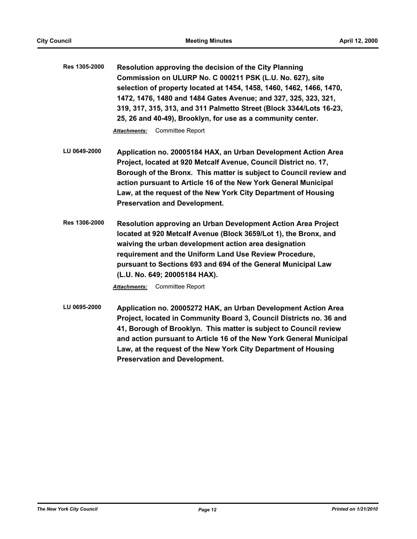**Res 1305-2000 Resolution approving the decision of the City Planning Commission on ULURP No. C 000211 PSK (L.U. No. 627), site selection of property located at 1454, 1458, 1460, 1462, 1466, 1470, 1472, 1476, 1480 and 1484 Gates Avenue; and 327, 325, 323, 321, 319, 317, 315, 313, and 311 Palmetto Street (Block 3344/Lots 16-23, 25, 26 and 40-49), Brooklyn, for use as a community center.**

*Attachments:* Committee Report

- **LU 0649-2000 Application no. 20005184 HAX, an Urban Development Action Area Project, located at 920 Metcalf Avenue, Council District no. 17, Borough of the Bronx. This matter is subject to Council review and action pursuant to Article 16 of the New York General Municipal Law, at the request of the New York City Department of Housing Preservation and Development.**
- **Res 1306-2000 Resolution approving an Urban Development Action Area Project located at 920 Metcalf Avenue (Block 3659/Lot 1), the Bronx, and waiving the urban development action area designation requirement and the Uniform Land Use Review Procedure, pursuant to Sections 693 and 694 of the General Municipal Law (L.U. No. 649; 20005184 HAX).**

*Attachments:* Committee Report

**LU 0695-2000 Application no. 20005272 HAK, an Urban Development Action Area Project, located in Community Board 3, Council Districts no. 36 and 41, Borough of Brooklyn. This matter is subject to Council review and action pursuant to Article 16 of the New York General Municipal Law, at the request of the New York City Department of Housing Preservation and Development.**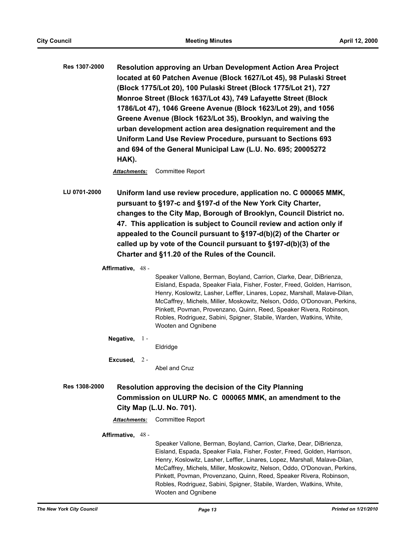**Res 1307-2000 Resolution approving an Urban Development Action Area Project located at 60 Patchen Avenue (Block 1627/Lot 45), 98 Pulaski Street (Block 1775/Lot 20), 100 Pulaski Street (Block 1775/Lot 21), 727 Monroe Street (Block 1637/Lot 43), 749 Lafayette Street (Block 1786/Lot 47), 1046 Greene Avenue (Block 1623/Lot 29), and 1056 Greene Avenue (Block 1623/Lot 35), Brooklyn, and waiving the urban development action area designation requirement and the Uniform Land Use Review Procedure, pursuant to Sections 693 and 694 of the General Municipal Law (L.U. No. 695; 20005272 HAK).**

*Attachments:* Committee Report

**LU 0701-2000 Uniform land use review procedure, application no. C 000065 MMK, pursuant to §197-c and §197-d of the New York City Charter, changes to the City Map, Borough of Brooklyn, Council District no. 47. This application is subject to Council review and action only if appealed to the Council pursuant to §197-d(b)(2) of the Charter or called up by vote of the Council pursuant to §197-d(b)(3) of the Charter and §11.20 of the Rules of the Council.**

**Affirmative,** 48 -

Speaker Vallone, Berman, Boyland, Carrion, Clarke, Dear, DiBrienza, Eisland, Espada, Speaker Fiala, Fisher, Foster, Freed, Golden, Harrison, Henry, Koslowitz, Lasher, Leffler, Linares, Lopez, Marshall, Malave-Dilan, McCaffrey, Michels, Miller, Moskowitz, Nelson, Oddo, O'Donovan, Perkins, Pinkett, Povman, Provenzano, Quinn, Reed, Speaker Rivera, Robinson, Robles, Rodriguez, Sabini, Spigner, Stabile, Warden, Watkins, White, Wooten and Ognibene

**Negative,** 1 -

Eldridge

**Excused,** 2 -

Abel and Cruz

- **Res 1308-2000 Resolution approving the decision of the City Planning Commission on ULURP No. C 000065 MMK, an amendment to the City Map (L.U. No. 701).**
	- *Attachments:* Committee Report

**Affirmative,** 48 -

Speaker Vallone, Berman, Boyland, Carrion, Clarke, Dear, DiBrienza, Eisland, Espada, Speaker Fiala, Fisher, Foster, Freed, Golden, Harrison, Henry, Koslowitz, Lasher, Leffler, Linares, Lopez, Marshall, Malave-Dilan, McCaffrey, Michels, Miller, Moskowitz, Nelson, Oddo, O'Donovan, Perkins, Pinkett, Povman, Provenzano, Quinn, Reed, Speaker Rivera, Robinson, Robles, Rodriguez, Sabini, Spigner, Stabile, Warden, Watkins, White, Wooten and Ognibene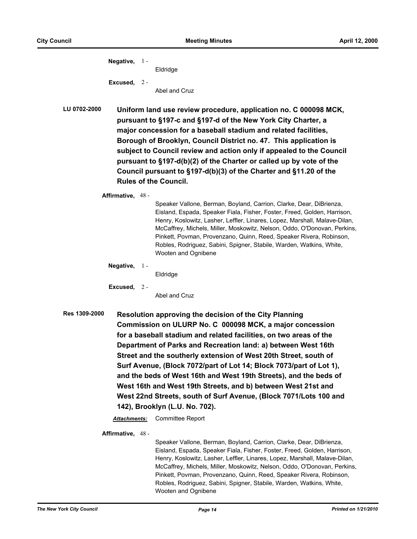| Negative, | -1 -  | Eldridge |
|-----------|-------|----------|
| Excused,  | $2 -$ |          |

Abel and Cruz

**LU 0702-2000 Uniform land use review procedure, application no. C 000098 MCK, pursuant to §197-c and §197-d of the New York City Charter, a major concession for a baseball stadium and related facilities, Borough of Brooklyn, Council District no. 47. This application is subject to Council review and action only if appealed to the Council pursuant to §197-d(b)(2) of the Charter or called up by vote of the Council pursuant to §197-d(b)(3) of the Charter and §11.20 of the Rules of the Council.**

#### **Affirmative,** 48 -

Speaker Vallone, Berman, Boyland, Carrion, Clarke, Dear, DiBrienza, Eisland, Espada, Speaker Fiala, Fisher, Foster, Freed, Golden, Harrison, Henry, Koslowitz, Lasher, Leffler, Linares, Lopez, Marshall, Malave-Dilan, McCaffrey, Michels, Miller, Moskowitz, Nelson, Oddo, O'Donovan, Perkins, Pinkett, Povman, Provenzano, Quinn, Reed, Speaker Rivera, Robinson, Robles, Rodriguez, Sabini, Spigner, Stabile, Warden, Watkins, White, Wooten and Ognibene

**Negative,** 1 -

Eldridge

**Excused,** 2 -

Abel and Cruz

**Res 1309-2000 Resolution approving the decision of the City Planning Commission on ULURP No. C 000098 MCK, a major concession for a baseball stadium and related facilities, on two areas of the Department of Parks and Recreation land: a) between West 16th Street and the southerly extension of West 20th Street, south of Surf Avenue, (Block 7072/part of Lot 14; Block 7073/part of Lot 1), and the beds of West 16th and West 19th Streets), and the beds of West 16th and West 19th Streets, and b) between West 21st and West 22nd Streets, south of Surf Avenue, (Block 7071/Lots 100 and 142), Brooklyn (L.U. No. 702).**

*Attachments:* Committee Report

**Affirmative,** 48 -

Speaker Vallone, Berman, Boyland, Carrion, Clarke, Dear, DiBrienza, Eisland, Espada, Speaker Fiala, Fisher, Foster, Freed, Golden, Harrison, Henry, Koslowitz, Lasher, Leffler, Linares, Lopez, Marshall, Malave-Dilan, McCaffrey, Michels, Miller, Moskowitz, Nelson, Oddo, O'Donovan, Perkins, Pinkett, Povman, Provenzano, Quinn, Reed, Speaker Rivera, Robinson, Robles, Rodriguez, Sabini, Spigner, Stabile, Warden, Watkins, White, Wooten and Ognibene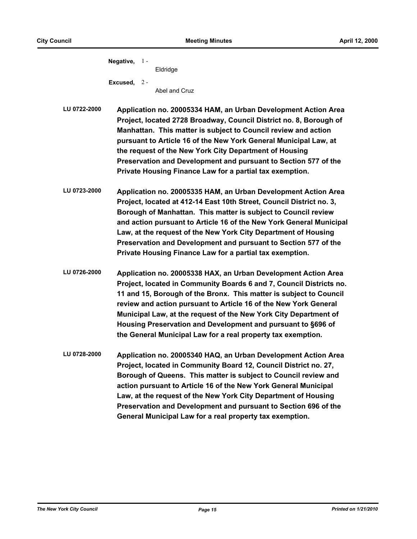| Negative,     | $\Box$ | Eldridge |
|---------------|--------|----------|
| Excused, $2-$ |        |          |

Abel and Cruz

**LU 0722-2000 Application no. 20005334 HAM, an Urban Development Action Area Project, located 2728 Broadway, Council District no. 8, Borough of Manhattan. This matter is subject to Council review and action pursuant to Article 16 of the New York General Municipal Law, at the request of the New York City Department of Housing Preservation and Development and pursuant to Section 577 of the Private Housing Finance Law for a partial tax exemption.**

- **LU 0723-2000 Application no. 20005335 HAM, an Urban Development Action Area Project, located at 412-14 East 10th Street, Council District no. 3, Borough of Manhattan. This matter is subject to Council review and action pursuant to Article 16 of the New York General Municipal Law, at the request of the New York City Department of Housing Preservation and Development and pursuant to Section 577 of the Private Housing Finance Law for a partial tax exemption.**
- **LU 0726-2000 Application no. 20005338 HAX, an Urban Development Action Area Project, located in Community Boards 6 and 7, Council Districts no. 11 and 15, Borough of the Bronx. This matter is subject to Council review and action pursuant to Article 16 of the New York General Municipal Law, at the request of the New York City Department of Housing Preservation and Development and pursuant to §696 of the General Municipal Law for a real property tax exemption.**
- **LU 0728-2000 Application no. 20005340 HAQ, an Urban Development Action Area Project, located in Community Board 12, Council District no. 27, Borough of Queens. This matter is subject to Council review and action pursuant to Article 16 of the New York General Municipal Law, at the request of the New York City Department of Housing Preservation and Development and pursuant to Section 696 of the General Municipal Law for a real property tax exemption.**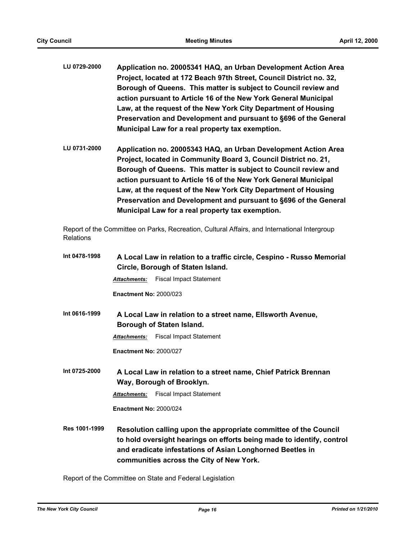- **LU 0729-2000 Application no. 20005341 HAQ, an Urban Development Action Area Project, located at 172 Beach 97th Street, Council District no. 32, Borough of Queens. This matter is subject to Council review and action pursuant to Article 16 of the New York General Municipal Law, at the request of the New York City Department of Housing Preservation and Development and pursuant to §696 of the General Municipal Law for a real property tax exemption.**
- **LU 0731-2000 Application no. 20005343 HAQ, an Urban Development Action Area Project, located in Community Board 3, Council District no. 21, Borough of Queens. This matter is subject to Council review and action pursuant to Article 16 of the New York General Municipal Law, at the request of the New York City Department of Housing Preservation and Development and pursuant to §696 of the General Municipal Law for a real property tax exemption.**

Report of the Committee on Parks, Recreation, Cultural Affairs, and International Intergroup Relations

| Int 0478-1998 | A Local Law in relation to a traffic circle, Cespino - Russo Memorial<br>Circle, Borough of Staten Island.                                                                                                                                         |  |  |
|---------------|----------------------------------------------------------------------------------------------------------------------------------------------------------------------------------------------------------------------------------------------------|--|--|
|               | <b>Fiscal Impact Statement</b><br>Attachments:                                                                                                                                                                                                     |  |  |
|               | <b>Enactment No: 2000/023</b>                                                                                                                                                                                                                      |  |  |
| Int 0616-1999 | A Local Law in relation to a street name, Ellsworth Avenue,                                                                                                                                                                                        |  |  |
|               | Borough of Staten Island.                                                                                                                                                                                                                          |  |  |
|               | <b>Fiscal Impact Statement</b><br><b>Attachments:</b>                                                                                                                                                                                              |  |  |
|               | <b>Enactment No: 2000/027</b>                                                                                                                                                                                                                      |  |  |
| Int 0725-2000 | A Local Law in relation to a street name, Chief Patrick Brennan<br>Way, Borough of Brooklyn.                                                                                                                                                       |  |  |
|               | <b>Attachments:</b> Fiscal Impact Statement                                                                                                                                                                                                        |  |  |
|               | <b>Enactment No: 2000/024</b>                                                                                                                                                                                                                      |  |  |
| Res 1001-1999 | Resolution calling upon the appropriate committee of the Council<br>to hold oversight hearings on efforts being made to identify, control<br>and eradicate infestations of Asian Longhorned Beetles in<br>communities across the City of New York. |  |  |

Report of the Committee on State and Federal Legislation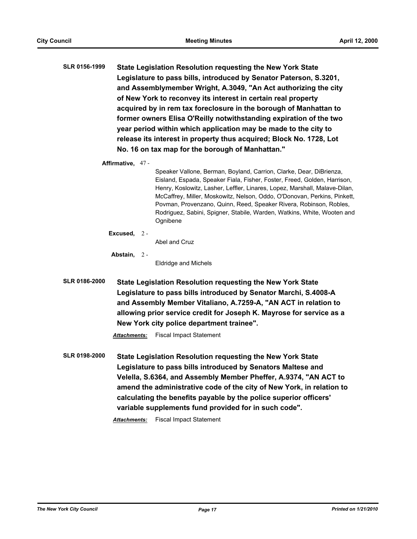**SLR 0156-1999 State Legislation Resolution requesting the New York State Legislature to pass bills, introduced by Senator Paterson, S.3201, and Assemblymember Wright, A.3049, "An Act authorizing the city of New York to reconvey its interest in certain real property acquired by in rem tax foreclosure in the borough of Manhattan to former owners Elisa O'Reilly notwithstanding expiration of the two year period within which application may be made to the city to release its interest in property thus acquired; Block No. 1728, Lot No. 16 on tax map for the borough of Manhattan."**

**Affirmative,** 47 -

Speaker Vallone, Berman, Boyland, Carrion, Clarke, Dear, DiBrienza, Eisland, Espada, Speaker Fiala, Fisher, Foster, Freed, Golden, Harrison, Henry, Koslowitz, Lasher, Leffler, Linares, Lopez, Marshall, Malave-Dilan, McCaffrey, Miller, Moskowitz, Nelson, Oddo, O'Donovan, Perkins, Pinkett, Povman, Provenzano, Quinn, Reed, Speaker Rivera, Robinson, Robles, Rodriguez, Sabini, Spigner, Stabile, Warden, Watkins, White, Wooten and Ognibene

**Excused,** 2 -

Abel and Cruz

**Abstain,** 2 -

Eldridge and Michels

**SLR 0186-2000 State Legislation Resolution requesting the New York State Legislature to pass bills introduced by Senator Marchi, S.4008-A and Assembly Member Vitaliano, A.7259-A, "AN ACT in relation to allowing prior service credit for Joseph K. Mayrose for service as a New York city police department trainee".**

*Attachments:* Fiscal Impact Statement

**SLR 0198-2000 State Legislation Resolution requesting the New York State Legislature to pass bills introduced by Senators Maltese and Velella, S.6364, and Assembly Member Pheffer, A.9374, "AN ACT to amend the administrative code of the city of New York, in relation to calculating the benefits payable by the police superior officers' variable supplements fund provided for in such code".**

*Attachments:* Fiscal Impact Statement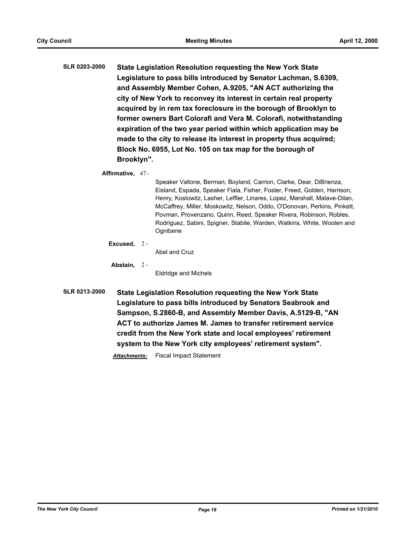**SLR 0203-2000 State Legislation Resolution requesting the New York State Legislature to pass bills introduced by Senator Lachman, S.6309, and Assembly Member Cohen, A.9205, "AN ACT authorizing the city of New York to reconvey its interest in certain real property acquired by in rem tax foreclosure in the borough of Brooklyn to former owners Bart Colorafi and Vera M. Colorafi, notwithstanding expiration of the two year period within which application may be made to the city to release its interest in property thus acquired; Block No. 6955, Lot No. 105 on tax map for the borough of Brooklyn".**

**Affirmative,** 47 -

Speaker Vallone, Berman, Boyland, Carrion, Clarke, Dear, DiBrienza, Eisland, Espada, Speaker Fiala, Fisher, Foster, Freed, Golden, Harrison, Henry, Koslowitz, Lasher, Leffler, Linares, Lopez, Marshall, Malave-Dilan, McCaffrey, Miller, Moskowitz, Nelson, Oddo, O'Donovan, Perkins, Pinkett, Povman, Provenzano, Quinn, Reed, Speaker Rivera, Robinson, Robles, Rodriguez, Sabini, Spigner, Stabile, Warden, Watkins, White, Wooten and Ognibene

**Excused,** 2 -

Abel and Cruz

**Abstain,** 2 -

Eldridge and Michels

**SLR 0213-2000 State Legislation Resolution requesting the New York State Legislature to pass bills introduced by Senators Seabrook and Sampson, S.2860-B, and Assembly Member Davis, A.5129-B, "AN ACT to authorize James M. James to transfer retirement service credit from the New York state and local employees' retirement system to the New York city employees' retirement system".**

*Attachments:* Fiscal Impact Statement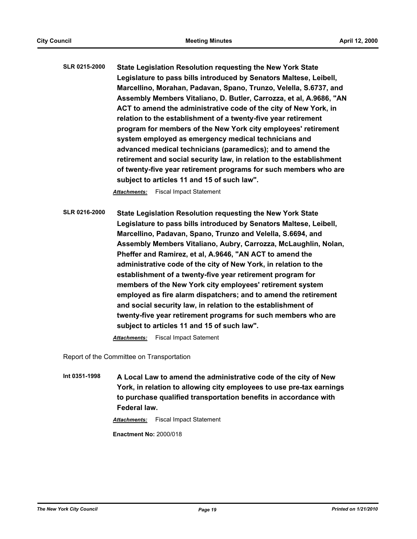**SLR 0215-2000 State Legislation Resolution requesting the New York State Legislature to pass bills introduced by Senators Maltese, Leibell, Marcellino, Morahan, Padavan, Spano, Trunzo, Velella, S.6737, and Assembly Members Vitaliano, D. Butler, Carrozza, et al, A.9686, "AN ACT to amend the administrative code of the city of New York, in relation to the establishment of a twenty-five year retirement program for members of the New York city employees' retirement system employed as emergency medical technicians and advanced medical technicians (paramedics); and to amend the retirement and social security law, in relation to the establishment of twenty-five year retirement programs for such members who are subject to articles 11 and 15 of such law".**

*Attachments:* Fiscal Impact Statement

**SLR 0216-2000 State Legislation Resolution requesting the New York State Legislature to pass bills introduced by Senators Maltese, Leibell, Marcellino, Padavan, Spano, Trunzo and Velella, S.6694, and Assembly Members Vitaliano, Aubry, Carrozza, McLaughlin, Nolan, Pheffer and Ramirez, et al, A.9646, "AN ACT to amend the administrative code of the city of New York, in relation to the establishment of a twenty-five year retirement program for members of the New York city employees' retirement system employed as fire alarm dispatchers; and to amend the retirement and social security law, in relation to the establishment of twenty-five year retirement programs for such members who are subject to articles 11 and 15 of such law".**

*Attachments:* Fiscal Impact Satement

Report of the Committee on Transportation

**Int 0351-1998 A Local Law to amend the administrative code of the city of New York, in relation to allowing city employees to use pre-tax earnings to purchase qualified transportation benefits in accordance with Federal law.**

*Attachments:* Fiscal Impact Statement

**Enactment No:** 2000/018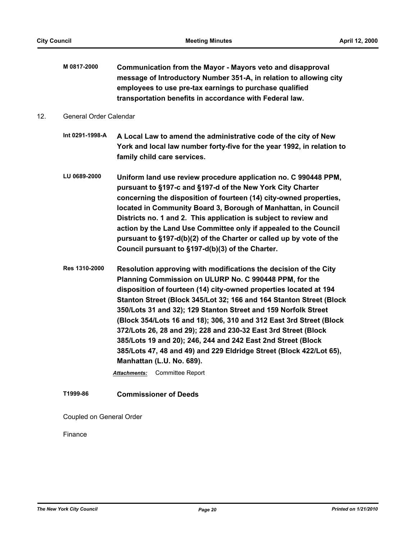**M 0817-2000 Communication from the Mayor - Mayors veto and disapproval message of Introductory Number 351-A, in relation to allowing city employees to use pre-tax earnings to purchase qualified transportation benefits in accordance with Federal law.**

## 12. General Order Calendar

- **Int 0291-1998-A A Local Law to amend the administrative code of the city of New York and local law number forty-five for the year 1992, in relation to family child care services.**
- **LU 0689-2000 Uniform land use review procedure application no. C 990448 PPM, pursuant to §197-c and §197-d of the New York City Charter concerning the disposition of fourteen (14) city-owned properties, located in Community Board 3, Borough of Manhattan, in Council Districts no. 1 and 2. This application is subject to review and action by the Land Use Committee only if appealed to the Council pursuant to §197-d(b)(2) of the Charter or called up by vote of the Council pursuant to §197-d(b)(3) of the Charter.**
- **Res 1310-2000 Resolution approving with modifications the decision of the City Planning Commission on ULURP No. C 990448 PPM, for the disposition of fourteen (14) city-owned properties located at 194 Stanton Street (Block 345/Lot 32; 166 and 164 Stanton Street (Block 350/Lots 31 and 32); 129 Stanton Street and 159 Norfolk Street (Block 354/Lots 16 and 18); 306, 310 and 312 East 3rd Street (Block 372/Lots 26, 28 and 29); 228 and 230-32 East 3rd Street (Block 385/Lots 19 and 20); 246, 244 and 242 East 2nd Street (Block 385/Lots 47, 48 and 49) and 229 Eldridge Street (Block 422/Lot 65), Manhattan (L.U. No. 689).**

*Attachments:* Committee Report

# **T1999-86 Commissioner of Deeds**

Coupled on General Order

Finance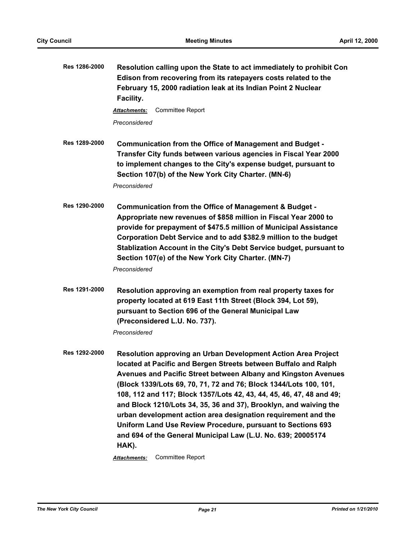| Res 1286-2000 | Resolution calling upon the State to act immediately to prohibit Con<br>Edison from recovering from its ratepayers costs related to the<br>February 15, 2000 radiation leak at its Indian Point 2 Nuclear<br>Facility.                                                                                                                                                                                                                                                                                                                                                                                                                                   |
|---------------|----------------------------------------------------------------------------------------------------------------------------------------------------------------------------------------------------------------------------------------------------------------------------------------------------------------------------------------------------------------------------------------------------------------------------------------------------------------------------------------------------------------------------------------------------------------------------------------------------------------------------------------------------------|
|               | <b>Committee Report</b><br><b>Attachments:</b>                                                                                                                                                                                                                                                                                                                                                                                                                                                                                                                                                                                                           |
|               | Preconsidered                                                                                                                                                                                                                                                                                                                                                                                                                                                                                                                                                                                                                                            |
| Res 1289-2000 | Communication from the Office of Management and Budget -<br>Transfer City funds between various agencies in Fiscal Year 2000<br>to implement changes to the City's expense budget, pursuant to<br>Section 107(b) of the New York City Charter. (MN-6)<br>Preconsidered                                                                                                                                                                                                                                                                                                                                                                                   |
| Res 1290-2000 | Communication from the Office of Management & Budget -<br>Appropriate new revenues of \$858 million in Fiscal Year 2000 to<br>provide for prepayment of \$475.5 million of Municipal Assistance<br>Corporation Debt Service and to add \$382.9 million to the budget<br>Stablization Account in the City's Debt Service budget, pursuant to<br>Section 107(e) of the New York City Charter. (MN-7)<br>Preconsidered                                                                                                                                                                                                                                      |
| Res 1291-2000 | Resolution approving an exemption from real property taxes for<br>property located at 619 East 11th Street (Block 394, Lot 59),<br>pursuant to Section 696 of the General Municipal Law<br>(Preconsidered L.U. No. 737).<br>Preconsidered                                                                                                                                                                                                                                                                                                                                                                                                                |
| Res 1292-2000 | Resolution approving an Urban Development Action Area Project<br>located at Pacific and Bergen Streets between Buffalo and Ralph<br>Avenues and Pacific Street between Albany and Kingston Avenues<br>(Block 1339/Lots 69, 70, 71, 72 and 76; Block 1344/Lots 100, 101,<br>108, 112 and 117; Block 1357/Lots 42, 43, 44, 45, 46, 47, 48 and 49;<br>and Block 1210/Lots 34, 35, 36 and 37), Brooklyn, and waiving the<br>urban development action area designation requirement and the<br>Uniform Land Use Review Procedure, pursuant to Sections 693<br>and 694 of the General Municipal Law (L.U. No. 639; 20005174<br>HAK).<br><b>Committee Report</b> |
|               | Attachments:                                                                                                                                                                                                                                                                                                                                                                                                                                                                                                                                                                                                                                             |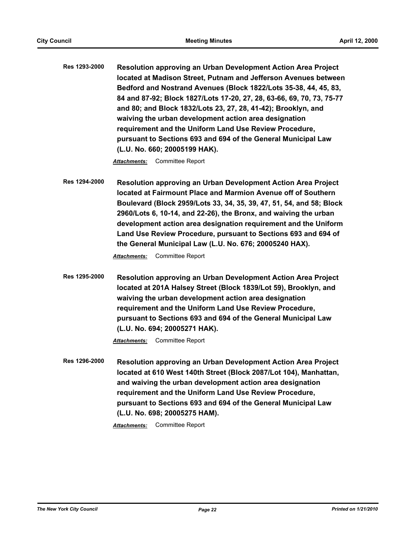**Res 1293-2000 Resolution approving an Urban Development Action Area Project located at Madison Street, Putnam and Jefferson Avenues between Bedford and Nostrand Avenues (Block 1822/Lots 35-38, 44, 45, 83, 84 and 87-92; Block 1827/Lots 17-20, 27, 28, 63-66, 69, 70, 73, 75-77 and 80; and Block 1832/Lots 23, 27, 28, 41-42); Brooklyn, and waiving the urban development action area designation requirement and the Uniform Land Use Review Procedure, pursuant to Sections 693 and 694 of the General Municipal Law (L.U. No. 660; 20005199 HAK).**

*Attachments:* Committee Report

**Res 1294-2000 Resolution approving an Urban Development Action Area Project located at Fairmount Place and Marmion Avenue off of Southern Boulevard (Block 2959/Lots 33, 34, 35, 39, 47, 51, 54, and 58; Block 2960/Lots 6, 10-14, and 22-26), the Bronx, and waiving the urban development action area designation requirement and the Uniform Land Use Review Procedure, pursuant to Sections 693 and 694 of the General Municipal Law (L.U. No. 676; 20005240 HAX).**

*Attachments:* Committee Report

**Res 1295-2000 Resolution approving an Urban Development Action Area Project located at 201A Halsey Street (Block 1839/Lot 59), Brooklyn, and waiving the urban development action area designation requirement and the Uniform Land Use Review Procedure, pursuant to Sections 693 and 694 of the General Municipal Law (L.U. No. 694; 20005271 HAK).**

*Attachments:* Committee Report

**Res 1296-2000 Resolution approving an Urban Development Action Area Project located at 610 West 140th Street (Block 2087/Lot 104), Manhattan, and waiving the urban development action area designation requirement and the Uniform Land Use Review Procedure, pursuant to Sections 693 and 694 of the General Municipal Law (L.U. No. 698; 20005275 HAM).**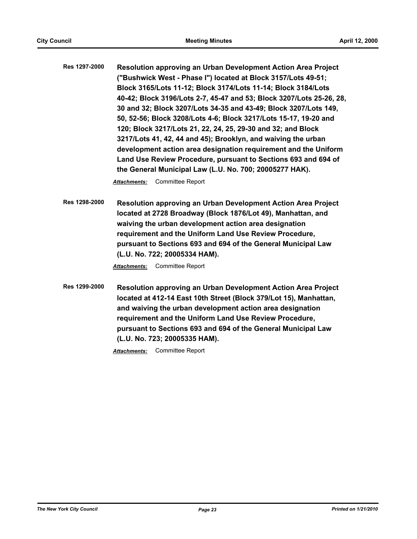**Res 1297-2000 Resolution approving an Urban Development Action Area Project ("Bushwick West - Phase I") located at Block 3157/Lots 49-51; Block 3165/Lots 11-12; Block 3174/Lots 11-14; Block 3184/Lots 40-42; Block 3196/Lots 2-7, 45-47 and 53; Block 3207/Lots 25-26, 28, 30 and 32; Block 3207/Lots 34-35 and 43-49; Block 3207/Lots 149, 50, 52-56; Block 3208/Lots 4-6; Block 3217/Lots 15-17, 19-20 and 120; Block 3217/Lots 21, 22, 24, 25, 29-30 and 32; and Block 3217/Lots 41, 42, 44 and 45); Brooklyn, and waiving the urban development action area designation requirement and the Uniform Land Use Review Procedure, pursuant to Sections 693 and 694 of the General Municipal Law (L.U. No. 700; 20005277 HAK).**

*Attachments:* Committee Report

**Res 1298-2000 Resolution approving an Urban Development Action Area Project located at 2728 Broadway (Block 1876/Lot 49), Manhattan, and waiving the urban development action area designation requirement and the Uniform Land Use Review Procedure, pursuant to Sections 693 and 694 of the General Municipal Law (L.U. No. 722; 20005334 HAM).**

*Attachments:* Committee Report

**Res 1299-2000 Resolution approving an Urban Development Action Area Project located at 412-14 East 10th Street (Block 379/Lot 15), Manhattan, and waiving the urban development action area designation requirement and the Uniform Land Use Review Procedure, pursuant to Sections 693 and 694 of the General Municipal Law (L.U. No. 723; 20005335 HAM).**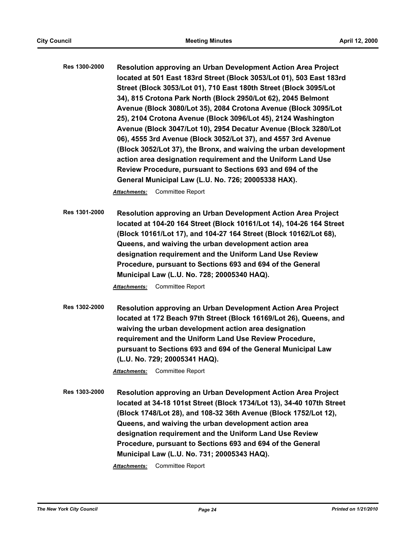**Res 1300-2000 Resolution approving an Urban Development Action Area Project located at 501 East 183rd Street (Block 3053/Lot 01), 503 East 183rd Street (Block 3053/Lot 01), 710 East 180th Street (Block 3095/Lot 34), 815 Crotona Park North (Block 2950/Lot 62), 2045 Belmont Avenue (Block 3080/Lot 35), 2084 Crotona Avenue (Block 3095/Lot 25), 2104 Crotona Avenue (Block 3096/Lot 45), 2124 Washington Avenue (Block 3047/Lot 10), 2954 Decatur Avenue (Block 3280/Lot 06), 4555 3rd Avenue (Block 3052/Lot 37), and 4557 3rd Avenue (Block 3052/Lot 37), the Bronx, and waiving the urban development action area designation requirement and the Uniform Land Use Review Procedure, pursuant to Sections 693 and 694 of the General Municipal Law (L.U. No. 726; 20005338 HAX).**

*Attachments:* Committee Report

**Res 1301-2000 Resolution approving an Urban Development Action Area Project located at 104-20 164 Street (Block 10161/Lot 14), 104-26 164 Street (Block 10161/Lot 17), and 104-27 164 Street (Block 10162/Lot 68), Queens, and waiving the urban development action area designation requirement and the Uniform Land Use Review Procedure, pursuant to Sections 693 and 694 of the General Municipal Law (L.U. No. 728; 20005340 HAQ).**

*Attachments:* Committee Report

**Res 1302-2000 Resolution approving an Urban Development Action Area Project located at 172 Beach 97th Street (Block 16169/Lot 26), Queens, and waiving the urban development action area designation requirement and the Uniform Land Use Review Procedure, pursuant to Sections 693 and 694 of the General Municipal Law (L.U. No. 729; 20005341 HAQ).**

*Attachments:* Committee Report

**Res 1303-2000 Resolution approving an Urban Development Action Area Project located at 34-18 101st Street (Block 1734/Lot 13), 34-40 107th Street (Block 1748/Lot 28), and 108-32 36th Avenue (Block 1752/Lot 12), Queens, and waiving the urban development action area designation requirement and the Uniform Land Use Review Procedure, pursuant to Sections 693 and 694 of the General Municipal Law (L.U. No. 731; 20005343 HAQ).**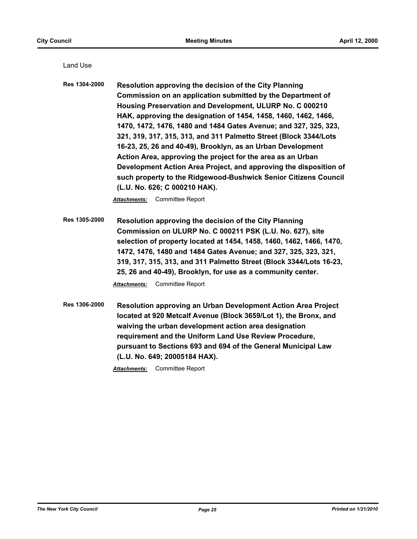Land Use

**Res 1304-2000 Resolution approving the decision of the City Planning Commission on an application submitted by the Department of Housing Preservation and Development, ULURP No. C 000210 HAK, approving the designation of 1454, 1458, 1460, 1462, 1466, 1470, 1472, 1476, 1480 and 1484 Gates Avenue; and 327, 325, 323, 321, 319, 317, 315, 313, and 311 Palmetto Street (Block 3344/Lots 16-23, 25, 26 and 40-49), Brooklyn, as an Urban Development Action Area, approving the project for the area as an Urban Development Action Area Project, and approving the disposition of such property to the Ridgewood-Bushwick Senior Citizens Council (L.U. No. 626; C 000210 HAK).**

*Attachments:* Committee Report

- **Res 1305-2000 Resolution approving the decision of the City Planning Commission on ULURP No. C 000211 PSK (L.U. No. 627), site selection of property located at 1454, 1458, 1460, 1462, 1466, 1470, 1472, 1476, 1480 and 1484 Gates Avenue; and 327, 325, 323, 321, 319, 317, 315, 313, and 311 Palmetto Street (Block 3344/Lots 16-23, 25, 26 and 40-49), Brooklyn, for use as a community center.** *Attachments:* Committee Report
- **Res 1306-2000 Resolution approving an Urban Development Action Area Project located at 920 Metcalf Avenue (Block 3659/Lot 1), the Bronx, and waiving the urban development action area designation requirement and the Uniform Land Use Review Procedure, pursuant to Sections 693 and 694 of the General Municipal Law (L.U. No. 649; 20005184 HAX).**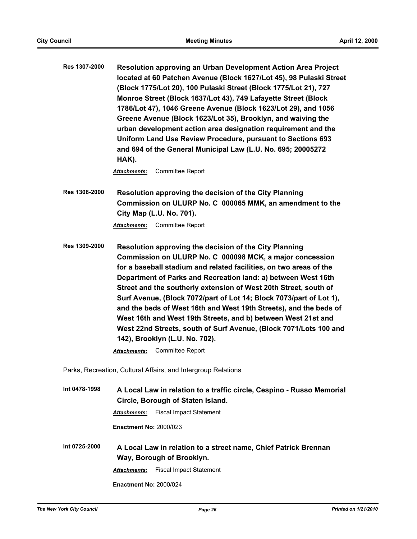**Res 1307-2000 Resolution approving an Urban Development Action Area Project located at 60 Patchen Avenue (Block 1627/Lot 45), 98 Pulaski Street (Block 1775/Lot 20), 100 Pulaski Street (Block 1775/Lot 21), 727 Monroe Street (Block 1637/Lot 43), 749 Lafayette Street (Block 1786/Lot 47), 1046 Greene Avenue (Block 1623/Lot 29), and 1056 Greene Avenue (Block 1623/Lot 35), Brooklyn, and waiving the urban development action area designation requirement and the Uniform Land Use Review Procedure, pursuant to Sections 693 and 694 of the General Municipal Law (L.U. No. 695; 20005272 HAK).**

*Attachments:* Committee Report

**Res 1308-2000 Resolution approving the decision of the City Planning Commission on ULURP No. C 000065 MMK, an amendment to the City Map (L.U. No. 701).**

*Attachments:* Committee Report

**Res 1309-2000 Resolution approving the decision of the City Planning Commission on ULURP No. C 000098 MCK, a major concession for a baseball stadium and related facilities, on two areas of the Department of Parks and Recreation land: a) between West 16th Street and the southerly extension of West 20th Street, south of Surf Avenue, (Block 7072/part of Lot 14; Block 7073/part of Lot 1), and the beds of West 16th and West 19th Streets), and the beds of West 16th and West 19th Streets, and b) between West 21st and West 22nd Streets, south of Surf Avenue, (Block 7071/Lots 100 and 142), Brooklyn (L.U. No. 702).**

*Attachments:* Committee Report

Parks, Recreation, Cultural Affairs, and Intergroup Relations

**Int 0478-1998 A Local Law in relation to a traffic circle, Cespino - Russo Memorial Circle, Borough of Staten Island.**

*Attachments:* Fiscal Impact Statement

**Enactment No:** 2000/023

**Int 0725-2000 A Local Law in relation to a street name, Chief Patrick Brennan Way, Borough of Brooklyn.** *Attachments:* Fiscal Impact Statement **Enactment No:** 2000/024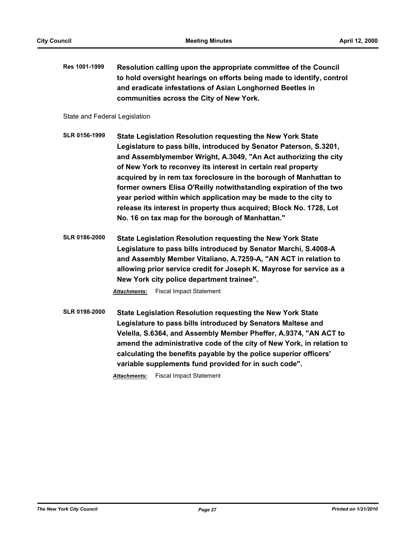**Res 1001-1999 Resolution calling upon the appropriate committee of the Council to hold oversight hearings on efforts being made to identify, control and eradicate infestations of Asian Longhorned Beetles in communities across the City of New York.**

State and Federal Legislation

- **SLR 0156-1999 State Legislation Resolution requesting the New York State Legislature to pass bills, introduced by Senator Paterson, S.3201, and Assemblymember Wright, A.3049, "An Act authorizing the city of New York to reconvey its interest in certain real property acquired by in rem tax foreclosure in the borough of Manhattan to former owners Elisa O'Reilly notwithstanding expiration of the two year period within which application may be made to the city to release its interest in property thus acquired; Block No. 1728, Lot No. 16 on tax map for the borough of Manhattan."**
- **SLR 0186-2000 State Legislation Resolution requesting the New York State Legislature to pass bills introduced by Senator Marchi, S.4008-A and Assembly Member Vitaliano, A.7259-A, "AN ACT in relation to allowing prior service credit for Joseph K. Mayrose for service as a New York city police department trainee".**

*Attachments:* Fiscal Impact Statement

**SLR 0198-2000 State Legislation Resolution requesting the New York State Legislature to pass bills introduced by Senators Maltese and Velella, S.6364, and Assembly Member Pheffer, A.9374, "AN ACT to amend the administrative code of the city of New York, in relation to calculating the benefits payable by the police superior officers' variable supplements fund provided for in such code".**

*Attachments:* Fiscal Impact Statement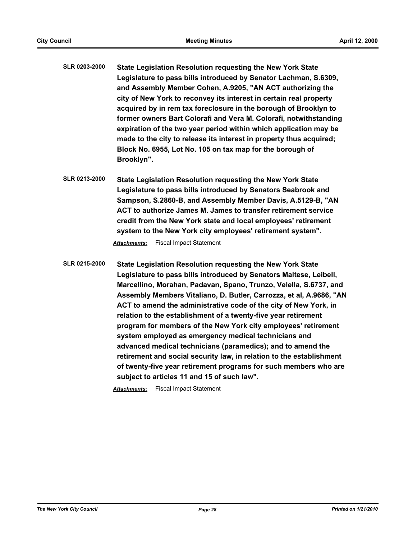- **SLR 0203-2000 State Legislation Resolution requesting the New York State Legislature to pass bills introduced by Senator Lachman, S.6309, and Assembly Member Cohen, A.9205, "AN ACT authorizing the city of New York to reconvey its interest in certain real property acquired by in rem tax foreclosure in the borough of Brooklyn to former owners Bart Colorafi and Vera M. Colorafi, notwithstanding expiration of the two year period within which application may be made to the city to release its interest in property thus acquired; Block No. 6955, Lot No. 105 on tax map for the borough of Brooklyn".**
- **SLR 0213-2000 State Legislation Resolution requesting the New York State Legislature to pass bills introduced by Senators Seabrook and Sampson, S.2860-B, and Assembly Member Davis, A.5129-B, "AN ACT to authorize James M. James to transfer retirement service credit from the New York state and local employees' retirement system to the New York city employees' retirement system".**

*Attachments:* Fiscal Impact Statement

**SLR 0215-2000 State Legislation Resolution requesting the New York State Legislature to pass bills introduced by Senators Maltese, Leibell, Marcellino, Morahan, Padavan, Spano, Trunzo, Velella, S.6737, and Assembly Members Vitaliano, D. Butler, Carrozza, et al, A.9686, "AN ACT to amend the administrative code of the city of New York, in relation to the establishment of a twenty-five year retirement program for members of the New York city employees' retirement system employed as emergency medical technicians and advanced medical technicians (paramedics); and to amend the retirement and social security law, in relation to the establishment of twenty-five year retirement programs for such members who are subject to articles 11 and 15 of such law".**

*Attachments:* Fiscal Impact Statement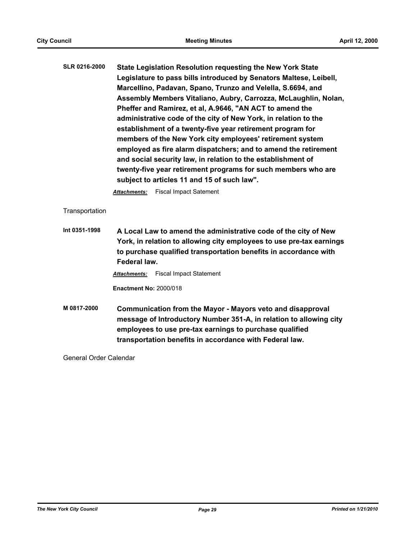| <b>SLR 0216-2000</b> | State Legislation Resolution requesting the New York State         |
|----------------------|--------------------------------------------------------------------|
|                      | Legislature to pass bills introduced by Senators Maltese, Leibell, |
|                      | Marcellino, Padavan, Spano, Trunzo and Velella, S.6694, and        |
|                      | Assembly Members Vitaliano, Aubry, Carrozza, McLaughlin, Nolan,    |
|                      | Pheffer and Ramirez, et al, A.9646, "AN ACT to amend the           |
|                      | administrative code of the city of New York, in relation to the    |
|                      | establishment of a twenty-five year retirement program for         |
|                      | members of the New York city employees' retirement system          |
|                      | employed as fire alarm dispatchers; and to amend the retirement    |
|                      | and social security law, in relation to the establishment of       |
|                      | twenty-five year retirement programs for such members who are      |
|                      | subject to articles 11 and 15 of such law".                        |

*Attachments:* Fiscal Impact Satement

**Transportation** 

**Int 0351-1998 A Local Law to amend the administrative code of the city of New York, in relation to allowing city employees to use pre-tax earnings to purchase qualified transportation benefits in accordance with Federal law.**

*Attachments:* Fiscal Impact Statement

**Enactment No:** 2000/018

**M 0817-2000 Communication from the Mayor - Mayors veto and disapproval message of Introductory Number 351-A, in relation to allowing city employees to use pre-tax earnings to purchase qualified transportation benefits in accordance with Federal law.**

General Order Calendar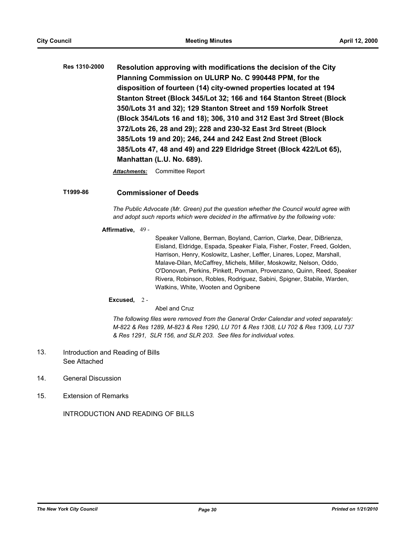**Res 1310-2000 Resolution approving with modifications the decision of the City Planning Commission on ULURP No. C 990448 PPM, for the disposition of fourteen (14) city-owned properties located at 194 Stanton Street (Block 345/Lot 32; 166 and 164 Stanton Street (Block 350/Lots 31 and 32); 129 Stanton Street and 159 Norfolk Street (Block 354/Lots 16 and 18); 306, 310 and 312 East 3rd Street (Block 372/Lots 26, 28 and 29); 228 and 230-32 East 3rd Street (Block 385/Lots 19 and 20); 246, 244 and 242 East 2nd Street (Block 385/Lots 47, 48 and 49) and 229 Eldridge Street (Block 422/Lot 65), Manhattan (L.U. No. 689).**

*Attachments:* Committee Report

# **T1999-86 Commissioner of Deeds**

*The Public Advocate (Mr. Green) put the question whether the Council would agree with and adopt such reports which were decided in the affirmative by the following vote:*

#### **Affirmative,** 49 -

Speaker Vallone, Berman, Boyland, Carrion, Clarke, Dear, DiBrienza, Eisland, Eldridge, Espada, Speaker Fiala, Fisher, Foster, Freed, Golden, Harrison, Henry, Koslowitz, Lasher, Leffler, Linares, Lopez, Marshall, Malave-Dilan, McCaffrey, Michels, Miller, Moskowitz, Nelson, Oddo, O'Donovan, Perkins, Pinkett, Povman, Provenzano, Quinn, Reed, Speaker Rivera, Robinson, Robles, Rodriguez, Sabini, Spigner, Stabile, Warden, Watkins, White, Wooten and Ognibene

#### **Excused,** 2 -

Abel and Cruz

*The following files were removed from the General Order Calendar and voted separately: M-822 & Res 1289, M-823 & Res 1290, LU 701 & Res 1308, LU 702 & Res 1309, LU 737 & Res 1291, SLR 156, and SLR 203. See files for individual votes.*

- Introduction and Reading of Bills See Attached 13.
- 14. General Discussion
- 15. Extension of Remarks

INTRODUCTION AND READING OF BILLS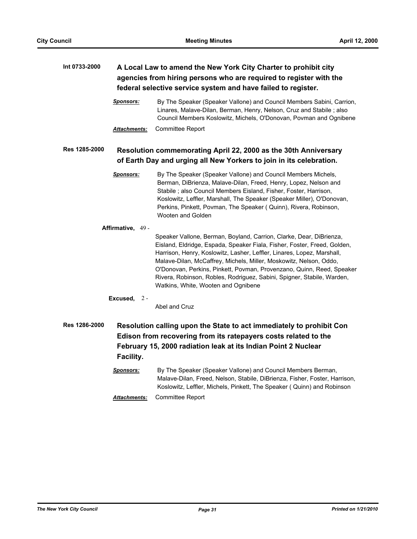# **Int 0733-2000 A Local Law to amend the New York City Charter to prohibit city agencies from hiring persons who are required to register with the federal selective service system and have failed to register.** *Sponsors:* By The Speaker (Speaker Vallone) and Council Members Sabini, Carrion, Linares, Malave-Dilan, Berman, Henry, Nelson, Cruz and Stabile ; also Council Members Koslowitz, Michels, O'Donovan, Povman and Ognibene *Attachments:* Committee Report **Res 1285-2000 Resolution commemorating April 22, 2000 as the 30th Anniversary of Earth Day and urging all New Yorkers to join in its celebration.** *Sponsors:* By The Speaker (Speaker Vallone) and Council Members Michels, Berman, DiBrienza, Malave-Dilan, Freed, Henry, Lopez, Nelson and Stabile ; also Council Members Eisland, Fisher, Foster, Harrison, Koslowitz, Leffler, Marshall, The Speaker (Speaker Miller), O'Donovan, Perkins, Pinkett, Povman, The Speaker ( Quinn), Rivera, Robinson, Wooten and Golden **Affirmative,** 49 - Speaker Vallone, Berman, Boyland, Carrion, Clarke, Dear, DiBrienza, Eisland, Eldridge, Espada, Speaker Fiala, Fisher, Foster, Freed, Golden, Harrison, Henry, Koslowitz, Lasher, Leffler, Linares, Lopez, Marshall, Malave-Dilan, McCaffrey, Michels, Miller, Moskowitz, Nelson, Oddo, O'Donovan, Perkins, Pinkett, Povman, Provenzano, Quinn, Reed, Speaker Rivera, Robinson, Robles, Rodriguez, Sabini, Spigner, Stabile, Warden, Watkins, White, Wooten and Ognibene **Excused,** 2 - Abel and Cruz **Res 1286-2000 Resolution calling upon the State to act immediately to prohibit Con Edison from recovering from its ratepayers costs related to the February 15, 2000 radiation leak at its Indian Point 2 Nuclear Facility.** *Sponsors:* By The Speaker (Speaker Vallone) and Council Members Berman,

- Malave-Dilan, Freed, Nelson, Stabile, DiBrienza, Fisher, Foster, Harrison, Koslowitz, Leffler, Michels, Pinkett, The Speaker ( Quinn) and Robinson
- *Attachments:* Committee Report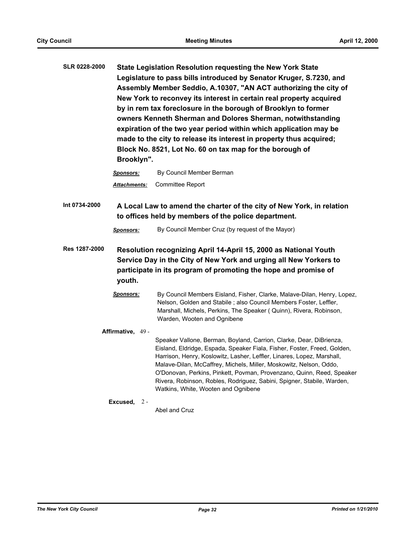| <b>SLR 0228-2000</b> | <b>State Legislation Resolution requesting the New York State</b><br>Legislature to pass bills introduced by Senator Kruger, S.7230, and<br>Assembly Member Seddio, A.10307, "AN ACT authorizing the city of<br>New York to reconvey its interest in certain real property acquired<br>by in rem tax foreclosure in the borough of Brooklyn to former<br>owners Kenneth Sherman and Dolores Sherman, notwithstanding<br>expiration of the two year period within which application may be<br>made to the city to release its interest in property thus acquired;<br>Block No. 8521, Lot No. 60 on tax map for the borough of<br>Brooklyn". |                                                                                                                                                                                                                                                                                                                                                                                                                                                                                           |  |
|----------------------|--------------------------------------------------------------------------------------------------------------------------------------------------------------------------------------------------------------------------------------------------------------------------------------------------------------------------------------------------------------------------------------------------------------------------------------------------------------------------------------------------------------------------------------------------------------------------------------------------------------------------------------------|-------------------------------------------------------------------------------------------------------------------------------------------------------------------------------------------------------------------------------------------------------------------------------------------------------------------------------------------------------------------------------------------------------------------------------------------------------------------------------------------|--|
|                      | <u>Sponsors:</u>                                                                                                                                                                                                                                                                                                                                                                                                                                                                                                                                                                                                                           | By Council Member Berman                                                                                                                                                                                                                                                                                                                                                                                                                                                                  |  |
|                      | <u> Attachments:</u>                                                                                                                                                                                                                                                                                                                                                                                                                                                                                                                                                                                                                       | Committee Report                                                                                                                                                                                                                                                                                                                                                                                                                                                                          |  |
| Int 0734-2000        |                                                                                                                                                                                                                                                                                                                                                                                                                                                                                                                                                                                                                                            | A Local Law to amend the charter of the city of New York, in relation<br>to offices held by members of the police department.                                                                                                                                                                                                                                                                                                                                                             |  |
|                      | <b>Sponsors:</b>                                                                                                                                                                                                                                                                                                                                                                                                                                                                                                                                                                                                                           | By Council Member Cruz (by request of the Mayor)                                                                                                                                                                                                                                                                                                                                                                                                                                          |  |
| Res 1287-2000        | youth.                                                                                                                                                                                                                                                                                                                                                                                                                                                                                                                                                                                                                                     | Resolution recognizing April 14-April 15, 2000 as National Youth<br>Service Day in the City of New York and urging all New Yorkers to<br>participate in its program of promoting the hope and promise of                                                                                                                                                                                                                                                                                  |  |
|                      | Sponsors:                                                                                                                                                                                                                                                                                                                                                                                                                                                                                                                                                                                                                                  | By Council Members Eisland, Fisher, Clarke, Malave-Dilan, Henry, Lopez,<br>Nelson, Golden and Stabile; also Council Members Foster, Leffler,<br>Marshall, Michels, Perkins, The Speaker (Quinn), Rivera, Robinson,<br>Warden, Wooten and Ognibene                                                                                                                                                                                                                                         |  |
|                      | Affirmative, 49 -                                                                                                                                                                                                                                                                                                                                                                                                                                                                                                                                                                                                                          |                                                                                                                                                                                                                                                                                                                                                                                                                                                                                           |  |
|                      |                                                                                                                                                                                                                                                                                                                                                                                                                                                                                                                                                                                                                                            | Speaker Vallone, Berman, Boyland, Carrion, Clarke, Dear, DiBrienza,<br>Eisland, Eldridge, Espada, Speaker Fiala, Fisher, Foster, Freed, Golden,<br>Harrison, Henry, Koslowitz, Lasher, Leffler, Linares, Lopez, Marshall,<br>Malave-Dilan, McCaffrey, Michels, Miller, Moskowitz, Nelson, Oddo,<br>O'Donovan, Perkins, Pinkett, Povman, Provenzano, Quinn, Reed, Speaker<br>Rivera, Robinson, Robles, Rodriguez, Sabini, Spigner, Stabile, Warden,<br>Watkins, White, Wooten and Ognibene |  |
|                      | Excused,<br>$2 -$                                                                                                                                                                                                                                                                                                                                                                                                                                                                                                                                                                                                                          | Abel and Cruz                                                                                                                                                                                                                                                                                                                                                                                                                                                                             |  |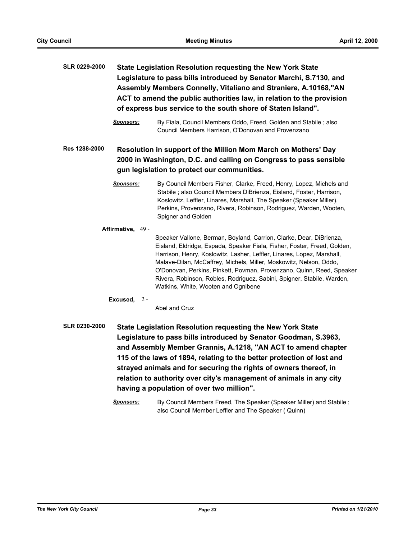| <b>SLR 0229-2000</b> |                   | <b>State Legislation Resolution requesting the New York State</b><br>Legislature to pass bills introduced by Senator Marchi, S.7130, and<br>Assembly Members Connelly, Vitaliano and Straniere, A.10168,"AN<br>ACT to amend the public authorities law, in relation to the provision<br>of express bus service to the south shore of Staten Island".                                                                                                                                      |
|----------------------|-------------------|-------------------------------------------------------------------------------------------------------------------------------------------------------------------------------------------------------------------------------------------------------------------------------------------------------------------------------------------------------------------------------------------------------------------------------------------------------------------------------------------|
|                      | <b>Sponsors:</b>  | By Fiala, Council Members Oddo, Freed, Golden and Stabile; also<br>Council Members Harrison, O'Donovan and Provenzano                                                                                                                                                                                                                                                                                                                                                                     |
| Res 1288-2000        |                   | Resolution in support of the Million Mom March on Mothers' Day<br>2000 in Washington, D.C. and calling on Congress to pass sensible<br>gun legislation to protect our communities.                                                                                                                                                                                                                                                                                                        |
|                      | <b>Sponsors:</b>  | By Council Members Fisher, Clarke, Freed, Henry, Lopez, Michels and<br>Stabile; also Council Members DiBrienza, Eisland, Foster, Harrison,<br>Koslowitz, Leffler, Linares, Marshall, The Speaker (Speaker Miller),<br>Perkins, Provenzano, Rivera, Robinson, Rodriguez, Warden, Wooten,<br>Spigner and Golden                                                                                                                                                                             |
|                      | Affirmative, 49 - | Speaker Vallone, Berman, Boyland, Carrion, Clarke, Dear, DiBrienza,<br>Eisland, Eldridge, Espada, Speaker Fiala, Fisher, Foster, Freed, Golden,<br>Harrison, Henry, Koslowitz, Lasher, Leffler, Linares, Lopez, Marshall,<br>Malave-Dilan, McCaffrey, Michels, Miller, Moskowitz, Nelson, Oddo,<br>O'Donovan, Perkins, Pinkett, Povman, Provenzano, Quinn, Reed, Speaker<br>Rivera, Robinson, Robles, Rodriguez, Sabini, Spigner, Stabile, Warden,<br>Watkins, White, Wooten and Ognibene |
|                      | Excused, $2 -$    | Abel and Cruz                                                                                                                                                                                                                                                                                                                                                                                                                                                                             |

**SLR 0230-2000 State Legislation Resolution requesting the New York State Legislature to pass bills introduced by Senator Goodman, S.3963, and Assembly Member Grannis, A.1218, "AN ACT to amend chapter 115 of the laws of 1894, relating to the better protection of lost and strayed animals and for securing the rights of owners thereof, in relation to authority over city's management of animals in any city having a population of over two million".**

> **Sponsors:** By Council Members Freed, The Speaker (Speaker Miller) and Stabile ; also Council Member Leffler and The Speaker ( Quinn)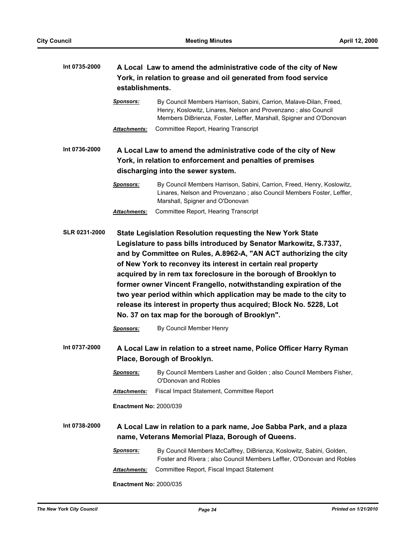| Int 0735-2000 | A Local Law to amend the administrative code of the city of New<br>York, in relation to grease and oil generated from food service<br>establishments. |                                                                                                                                                                                                                                                                                                                                                                                                                                                                                                                                                                                                                                                    |  |
|---------------|-------------------------------------------------------------------------------------------------------------------------------------------------------|----------------------------------------------------------------------------------------------------------------------------------------------------------------------------------------------------------------------------------------------------------------------------------------------------------------------------------------------------------------------------------------------------------------------------------------------------------------------------------------------------------------------------------------------------------------------------------------------------------------------------------------------------|--|
|               | <b>Sponsors:</b>                                                                                                                                      | By Council Members Harrison, Sabini, Carrion, Malave-Dilan, Freed,<br>Henry, Koslowitz, Linares, Nelson and Provenzano; also Council<br>Members DiBrienza, Foster, Leffler, Marshall, Spigner and O'Donovan                                                                                                                                                                                                                                                                                                                                                                                                                                        |  |
|               | <u>Attachments:</u>                                                                                                                                   | Committee Report, Hearing Transcript                                                                                                                                                                                                                                                                                                                                                                                                                                                                                                                                                                                                               |  |
| Int 0736-2000 |                                                                                                                                                       | A Local Law to amend the administrative code of the city of New                                                                                                                                                                                                                                                                                                                                                                                                                                                                                                                                                                                    |  |
|               |                                                                                                                                                       | York, in relation to enforcement and penalties of premises                                                                                                                                                                                                                                                                                                                                                                                                                                                                                                                                                                                         |  |
|               |                                                                                                                                                       | discharging into the sewer system.                                                                                                                                                                                                                                                                                                                                                                                                                                                                                                                                                                                                                 |  |
|               | <u>Sponsors:</u>                                                                                                                                      | By Council Members Harrison, Sabini, Carrion, Freed, Henry, Koslowitz,<br>Linares, Nelson and Provenzano; also Council Members Foster, Leffler,<br>Marshall, Spigner and O'Donovan                                                                                                                                                                                                                                                                                                                                                                                                                                                                 |  |
|               | <b>Attachments:</b>                                                                                                                                   | Committee Report, Hearing Transcript                                                                                                                                                                                                                                                                                                                                                                                                                                                                                                                                                                                                               |  |
|               | <b>Sponsors:</b>                                                                                                                                      | <b>State Legislation Resolution requesting the New York State</b><br>Legislature to pass bills introduced by Senator Markowitz, S.7337,<br>and by Committee on Rules, A.8962-A, "AN ACT authorizing the city<br>of New York to reconvey its interest in certain real property<br>acquired by in rem tax foreclosure in the borough of Brooklyn to<br>former owner Vincent Frangello, notwithstanding expiration of the<br>two year period within which application may be made to the city to<br>release its interest in property thus acquired; Block No. 5228, Lot<br>No. 37 on tax map for the borough of Brooklyn".<br>By Council Member Henry |  |
| Int 0737-2000 |                                                                                                                                                       | A Local Law in relation to a street name, Police Officer Harry Ryman<br>Place, Borough of Brooklyn.                                                                                                                                                                                                                                                                                                                                                                                                                                                                                                                                                |  |
|               | <u>Sponsors:</u>                                                                                                                                      | By Council Members Lasher and Golden ; also Council Members Fisher,<br>O'Donovan and Robles                                                                                                                                                                                                                                                                                                                                                                                                                                                                                                                                                        |  |
|               | <u> Attachments:</u>                                                                                                                                  | Fiscal Impact Statement, Committee Report                                                                                                                                                                                                                                                                                                                                                                                                                                                                                                                                                                                                          |  |
|               | <b>Enactment No: 2000/039</b>                                                                                                                         |                                                                                                                                                                                                                                                                                                                                                                                                                                                                                                                                                                                                                                                    |  |
| Int 0738-2000 |                                                                                                                                                       | A Local Law in relation to a park name, Joe Sabba Park, and a plaza<br>name, Veterans Memorial Plaza, Borough of Queens.                                                                                                                                                                                                                                                                                                                                                                                                                                                                                                                           |  |
|               | <u>Sponsors:</u>                                                                                                                                      | By Council Members McCaffrey, DiBrienza, Koslowitz, Sabini, Golden,<br>Foster and Rivera ; also Council Members Leffler, O'Donovan and Robles                                                                                                                                                                                                                                                                                                                                                                                                                                                                                                      |  |
|               | <b>Attachments:</b>                                                                                                                                   | Committee Report, Fiscal Impact Statement                                                                                                                                                                                                                                                                                                                                                                                                                                                                                                                                                                                                          |  |
|               | <b>Enactment No: 2000/035</b>                                                                                                                         |                                                                                                                                                                                                                                                                                                                                                                                                                                                                                                                                                                                                                                                    |  |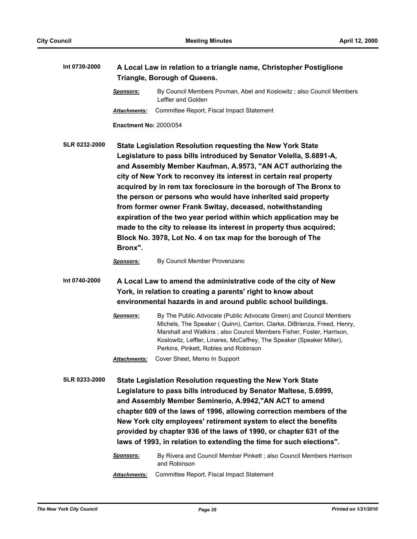| Int 0739-2000        | A Local Law in relation to a triangle name, Christopher Postiglione<br>Triangle, Borough of Queens.                                                                                             |                                                                                                                                                                                                                                                                                                                                                                                                                                                                                                                                                                                                                                                                                     |  |
|----------------------|-------------------------------------------------------------------------------------------------------------------------------------------------------------------------------------------------|-------------------------------------------------------------------------------------------------------------------------------------------------------------------------------------------------------------------------------------------------------------------------------------------------------------------------------------------------------------------------------------------------------------------------------------------------------------------------------------------------------------------------------------------------------------------------------------------------------------------------------------------------------------------------------------|--|
|                      | <u>Sponsors:</u>                                                                                                                                                                                | By Council Members Povman, Abel and Koslowitz; also Council Members<br>Leffler and Golden                                                                                                                                                                                                                                                                                                                                                                                                                                                                                                                                                                                           |  |
|                      | <b>Attachments:</b>                                                                                                                                                                             | Committee Report, Fiscal Impact Statement                                                                                                                                                                                                                                                                                                                                                                                                                                                                                                                                                                                                                                           |  |
|                      | <b>Enactment No: 2000/054</b>                                                                                                                                                                   |                                                                                                                                                                                                                                                                                                                                                                                                                                                                                                                                                                                                                                                                                     |  |
| <b>SLR 0232-2000</b> | Bronx".                                                                                                                                                                                         | State Legislation Resolution requesting the New York State<br>Legislature to pass bills introduced by Senator Velella, S.6891-A,<br>and Assembly Member Kaufman, A.9573, "AN ACT authorizing the<br>city of New York to reconvey its interest in certain real property<br>acquired by in rem tax foreclosure in the borough of The Bronx to<br>the person or persons who would have inherited said property<br>from former owner Frank Switay, deceased, notwithstanding<br>expiration of the two year period within which application may be<br>made to the city to release its interest in property thus acquired;<br>Block No. 3978, Lot No. 4 on tax map for the borough of The |  |
|                      | <b>Sponsors:</b>                                                                                                                                                                                | By Council Member Provenzano                                                                                                                                                                                                                                                                                                                                                                                                                                                                                                                                                                                                                                                        |  |
| Int 0740-2000        | A Local Law to amend the administrative code of the city of New<br>York, in relation to creating a parents' right to know about<br>environmental hazards in and around public school buildings. |                                                                                                                                                                                                                                                                                                                                                                                                                                                                                                                                                                                                                                                                                     |  |
|                      | <b>Sponsors:</b>                                                                                                                                                                                | By The Public Advocate (Public Advocate Green) and Council Members<br>Michels, The Speaker ( Quinn), Carrion, Clarke, DiBrienza, Freed, Henry,<br>Marshall and Watkins; also Council Members Fisher, Foster, Harrison,<br>Koslowitz, Leffler, Linares, McCaffrey, The Speaker (Speaker Miller),<br>Perkins, Pinkett, Robles and Robinson                                                                                                                                                                                                                                                                                                                                            |  |
|                      | <b>Attachments:</b>                                                                                                                                                                             | Cover Sheet, Memo In Support                                                                                                                                                                                                                                                                                                                                                                                                                                                                                                                                                                                                                                                        |  |
| <b>SLR 0233-2000</b> |                                                                                                                                                                                                 | State Legislation Resolution requesting the New York State<br>Legislature to pass bills introduced by Senator Maltese, S.6999,<br>and Assembly Member Seminerio, A.9942,"AN ACT to amend<br>chapter 609 of the laws of 1996, allowing correction members of the<br>New York city employees' retirement system to elect the benefits<br>provided by chapter 936 of the laws of 1990, or chapter 631 of the<br>laws of 1993, in relation to extending the time for such elections".                                                                                                                                                                                                   |  |
|                      | <b>Sponsors:</b>                                                                                                                                                                                | By Rivera and Council Member Pinkett; also Council Members Harrison<br>and Robinson                                                                                                                                                                                                                                                                                                                                                                                                                                                                                                                                                                                                 |  |
|                      | Attachments:                                                                                                                                                                                    | Committee Report, Fiscal Impact Statement                                                                                                                                                                                                                                                                                                                                                                                                                                                                                                                                                                                                                                           |  |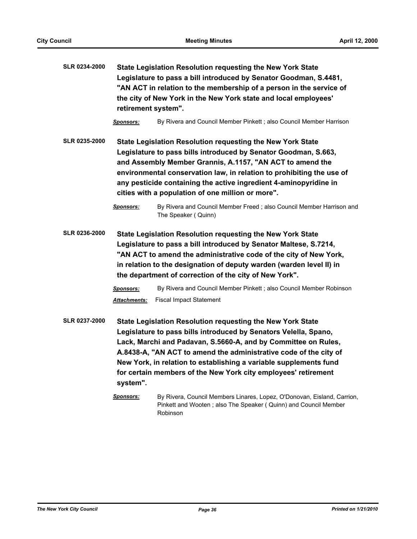| <b>SLR 0234-2000</b> | retirement system".              | State Legislation Resolution requesting the New York State<br>Legislature to pass a bill introduced by Senator Goodman, S.4481,<br>"AN ACT in relation to the membership of a person in the service of<br>the city of New York in the New York state and local employees'                                                                                                                                                                      |
|----------------------|----------------------------------|------------------------------------------------------------------------------------------------------------------------------------------------------------------------------------------------------------------------------------------------------------------------------------------------------------------------------------------------------------------------------------------------------------------------------------------------|
|                      | <b>Sponsors:</b>                 | By Rivera and Council Member Pinkett; also Council Member Harrison                                                                                                                                                                                                                                                                                                                                                                             |
| <b>SLR 0235-2000</b> |                                  | State Legislation Resolution requesting the New York State<br>Legislature to pass bills introduced by Senator Goodman, S.663,<br>and Assembly Member Grannis, A.1157, "AN ACT to amend the<br>environmental conservation law, in relation to prohibiting the use of<br>any pesticide containing the active ingredient 4-aminopyridine in<br>cities with a population of one million or more".                                                  |
|                      | <b>Sponsors:</b>                 | By Rivera and Council Member Freed; also Council Member Harrison and<br>The Speaker (Quinn)                                                                                                                                                                                                                                                                                                                                                    |
| <b>SLR 0236-2000</b> | <b>Sponsors:</b><br>Attachments: | State Legislation Resolution requesting the New York State<br>Legislature to pass a bill introduced by Senator Maltese, S.7214,<br>"AN ACT to amend the administrative code of the city of New York,<br>in relation to the designation of deputy warden (warden level II) in<br>the department of correction of the city of New York".<br>By Rivera and Council Member Pinkett; also Council Member Robinson<br><b>Fiscal Impact Statement</b> |
| SLR 0237-2000        | system".                         | <b>State Legislation Resolution requesting the New York State</b><br>Legislature to pass bills introduced by Senators Velella, Spano,<br>Lack, Marchi and Padavan, S.5660-A, and by Committee on Rules,<br>A.8438-A, "AN ACT to amend the administrative code of the city of<br>New York, in relation to establishing a variable supplements fund<br>for certain members of the New York city employees' retirement                            |
|                      | <b>Sponsors:</b>                 | By Rivera, Council Members Linares, Lopez, O'Donovan, Eisland, Carrion,<br>Pinkett and Wooten; also The Speaker ( Quinn) and Council Member<br>Robinson                                                                                                                                                                                                                                                                                        |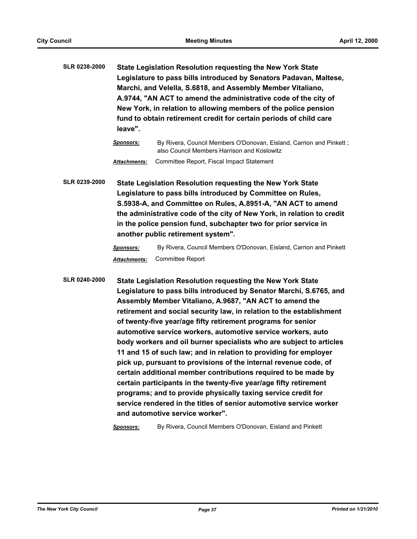**SLR 0238-2000 State Legislation Resolution requesting the New York State Legislature to pass bills introduced by Senators Padavan, Maltese, Marchi, and Velella, S.6818, and Assembly Member Vitaliano, A.9744, "AN ACT to amend the administrative code of the city of New York, in relation to allowing members of the police pension fund to obtain retirement credit for certain periods of child care leave".**

> *Sponsors:* By Rivera, Council Members O'Donovan, Eisland, Carrion and Pinkett ; also Council Members Harrison and Koslowitz *Attachments:* Committee Report, Fiscal Impact Statement

**SLR 0239-2000 State Legislation Resolution requesting the New York State Legislature to pass bills introduced by Committee on Rules, S.5938-A, and Committee on Rules, A.8951-A, "AN ACT to amend the administrative code of the city of New York, in relation to credit in the police pension fund, subchapter two for prior service in another public retirement system".**

> *Sponsors:* By Rivera, Council Members O'Donovan, Eisland, Carrion and Pinkett *Attachments:* Committee Report

**SLR 0240-2000 State Legislation Resolution requesting the New York State Legislature to pass bills introduced by Senator Marchi, S.6765, and Assembly Member Vitaliano, A.9687, "AN ACT to amend the retirement and social security law, in relation to the establishment of twenty-five year/age fifty retirement programs for senior automotive service workers, automotive service workers, auto body workers and oil burner specialists who are subject to articles 11 and 15 of such law; and in relation to providing for employer pick up, pursuant to provisions of the internal revenue code, of certain additional member contributions required to be made by certain participants in the twenty-five year/age fifty retirement programs; and to provide physically taxing service credit for service rendered in the titles of senior automotive service worker and automotive service worker".**

*Sponsors:* By Rivera, Council Members O'Donovan, Eisland and Pinkett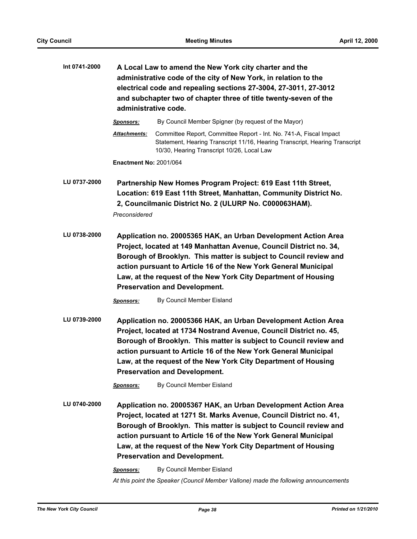| Int 0741-2000 | A Local Law to amend the New York city charter and the<br>administrative code of the city of New York, in relation to the<br>electrical code and repealing sections 27-3004, 27-3011, 27-3012<br>and subchapter two of chapter three of title twenty-seven of the<br>administrative code.                                                                                              |                                                                                                                                                                                                                                                                                                                                                                                         |  |
|---------------|----------------------------------------------------------------------------------------------------------------------------------------------------------------------------------------------------------------------------------------------------------------------------------------------------------------------------------------------------------------------------------------|-----------------------------------------------------------------------------------------------------------------------------------------------------------------------------------------------------------------------------------------------------------------------------------------------------------------------------------------------------------------------------------------|--|
|               | Sponsors:                                                                                                                                                                                                                                                                                                                                                                              | By Council Member Spigner (by request of the Mayor)                                                                                                                                                                                                                                                                                                                                     |  |
|               | Attachments:                                                                                                                                                                                                                                                                                                                                                                           | Committee Report, Committee Report - Int. No. 741-A, Fiscal Impact<br>Statement, Hearing Transcript 11/16, Hearing Transcript, Hearing Transcript<br>10/30, Hearing Transcript 10/26, Local Law                                                                                                                                                                                         |  |
|               | <b>Enactment No: 2001/064</b>                                                                                                                                                                                                                                                                                                                                                          |                                                                                                                                                                                                                                                                                                                                                                                         |  |
| LU 0737-2000  | Preconsidered                                                                                                                                                                                                                                                                                                                                                                          | Partnership New Homes Program Project: 619 East 11th Street,<br>Location: 619 East 11th Street, Manhattan, Community District No.<br>2, Councilmanic District No. 2 (ULURP No. C000063HAM).                                                                                                                                                                                             |  |
| LU 0738-2000  | Application no. 20005365 HAK, an Urban Development Action Area<br>Project, located at 149 Manhattan Avenue, Council District no. 34,<br>Borough of Brooklyn. This matter is subject to Council review and<br>action pursuant to Article 16 of the New York General Municipal<br>Law, at the request of the New York City Department of Housing<br><b>Preservation and Development.</b> |                                                                                                                                                                                                                                                                                                                                                                                         |  |
|               | <b>Sponsors:</b>                                                                                                                                                                                                                                                                                                                                                                       | By Council Member Eisland                                                                                                                                                                                                                                                                                                                                                               |  |
| LU 0739-2000  | Application no. 20005366 HAK, an Urban Development Action Area<br>Project, located at 1734 Nostrand Avenue, Council District no. 45,<br>Borough of Brooklyn. This matter is subject to Council review and<br>action pursuant to Article 16 of the New York General Municipal<br>Law, at the request of the New York City Department of Housing<br><b>Preservation and Development.</b> |                                                                                                                                                                                                                                                                                                                                                                                         |  |
|               | <b>Sponsors:</b>                                                                                                                                                                                                                                                                                                                                                                       | By Council Member Eisland                                                                                                                                                                                                                                                                                                                                                               |  |
| LU 0740-2000  |                                                                                                                                                                                                                                                                                                                                                                                        | Application no. 20005367 HAK, an Urban Development Action Area<br>Project, located at 1271 St. Marks Avenue, Council District no. 41,<br>Borough of Brooklyn. This matter is subject to Council review and<br>action pursuant to Article 16 of the New York General Municipal<br>Law, at the request of the New York City Department of Housing<br><b>Preservation and Development.</b> |  |
|               | <b>Sponsors:</b>                                                                                                                                                                                                                                                                                                                                                                       | By Council Member Eisland                                                                                                                                                                                                                                                                                                                                                               |  |
|               |                                                                                                                                                                                                                                                                                                                                                                                        | At this point the Speaker (Council Member Vallone) made the following announcements                                                                                                                                                                                                                                                                                                     |  |